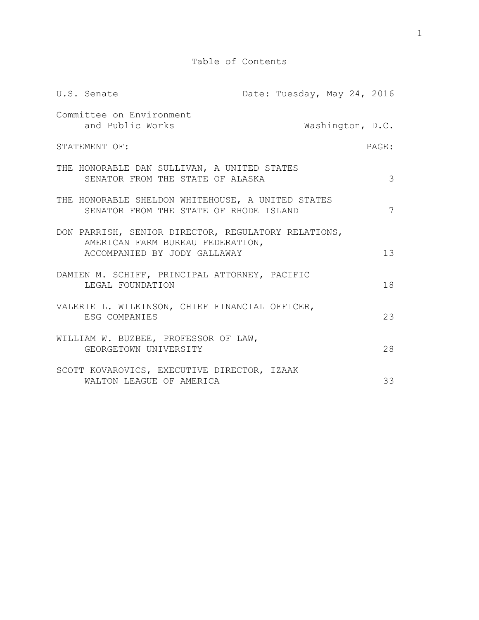| U.S. Senate                                                                                                             | Date: Tuesday, May 24, 2016 |                  |
|-------------------------------------------------------------------------------------------------------------------------|-----------------------------|------------------|
| Committee on Environment<br>and Public Works                                                                            |                             | Washington, D.C. |
| STATEMENT OF:                                                                                                           |                             | PAGE:            |
| THE HONORABLE DAN SULLIVAN, A UNITED STATES<br>SENATOR FROM THE STATE OF ALASKA                                         |                             | 3                |
| THE HONORABLE SHELDON WHITEHOUSE, A UNITED STATES<br>SENATOR FROM THE STATE OF RHODE ISLAND                             |                             | 7                |
| DON PARRISH, SENIOR DIRECTOR, REGULATORY RELATIONS,<br>AMERICAN FARM BUREAU FEDERATION,<br>ACCOMPANIED BY JODY GALLAWAY |                             | 13               |
| DAMIEN M. SCHIFF, PRINCIPAL ATTORNEY, PACIFIC<br>LEGAL FOUNDATION                                                       |                             | 18               |
| VALERIE L. WILKINSON, CHIEF FINANCIAL OFFICER,<br>ESG COMPANIES                                                         |                             | 23               |
| WILLIAM W. BUZBEE, PROFESSOR OF LAW,<br>GEORGETOWN UNIVERSITY                                                           |                             | 28               |
| SCOTT KOVAROVICS, EXECUTIVE DIRECTOR, IZAAK<br>WALTON LEAGUE OF AMERICA                                                 |                             | 33               |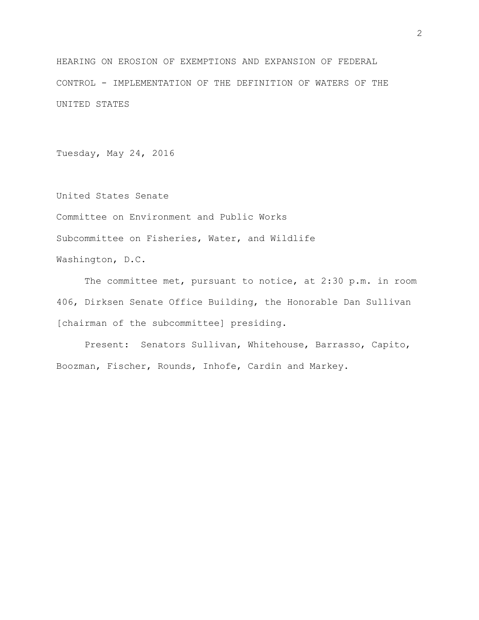HEARING ON EROSION OF EXEMPTIONS AND EXPANSION OF FEDERAL CONTROL - IMPLEMENTATION OF THE DEFINITION OF WATERS OF THE UNITED STATES

Tuesday, May 24, 2016

United States Senate Committee on Environment and Public Works Subcommittee on Fisheries, Water, and Wildlife Washington, D.C.

The committee met, pursuant to notice, at 2:30 p.m. in room 406, Dirksen Senate Office Building, the Honorable Dan Sullivan [chairman of the subcommittee] presiding.

Present: Senators Sullivan, Whitehouse, Barrasso, Capito, Boozman, Fischer, Rounds, Inhofe, Cardin and Markey.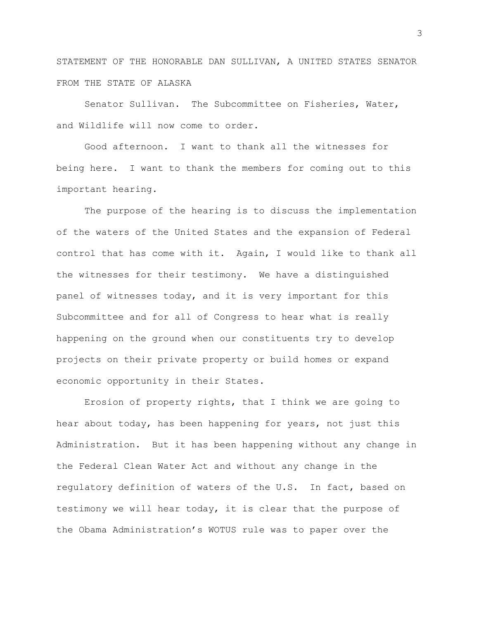STATEMENT OF THE HONORABLE DAN SULLIVAN, A UNITED STATES SENATOR FROM THE STATE OF ALASKA

Senator Sullivan. The Subcommittee on Fisheries, Water, and Wildlife will now come to order.

Good afternoon. I want to thank all the witnesses for being here. I want to thank the members for coming out to this important hearing.

The purpose of the hearing is to discuss the implementation of the waters of the United States and the expansion of Federal control that has come with it. Again, I would like to thank all the witnesses for their testimony. We have a distinguished panel of witnesses today, and it is very important for this Subcommittee and for all of Congress to hear what is really happening on the ground when our constituents try to develop projects on their private property or build homes or expand economic opportunity in their States.

Erosion of property rights, that I think we are going to hear about today, has been happening for years, not just this Administration. But it has been happening without any change in the Federal Clean Water Act and without any change in the regulatory definition of waters of the U.S. In fact, based on testimony we will hear today, it is clear that the purpose of the Obama Administration's WOTUS rule was to paper over the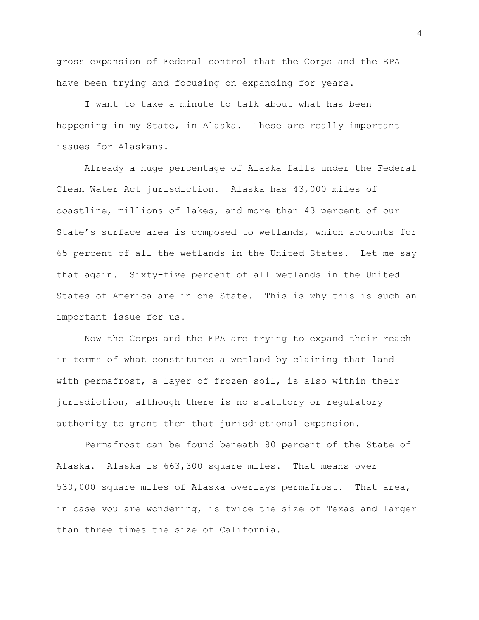gross expansion of Federal control that the Corps and the EPA have been trying and focusing on expanding for years.

I want to take a minute to talk about what has been happening in my State, in Alaska. These are really important issues for Alaskans.

Already a huge percentage of Alaska falls under the Federal Clean Water Act jurisdiction. Alaska has 43,000 miles of coastline, millions of lakes, and more than 43 percent of our State's surface area is composed to wetlands, which accounts for 65 percent of all the wetlands in the United States. Let me say that again. Sixty-five percent of all wetlands in the United States of America are in one State. This is why this is such an important issue for us.

Now the Corps and the EPA are trying to expand their reach in terms of what constitutes a wetland by claiming that land with permafrost, a layer of frozen soil, is also within their jurisdiction, although there is no statutory or regulatory authority to grant them that jurisdictional expansion.

Permafrost can be found beneath 80 percent of the State of Alaska. Alaska is 663,300 square miles. That means over 530,000 square miles of Alaska overlays permafrost. That area, in case you are wondering, is twice the size of Texas and larger than three times the size of California.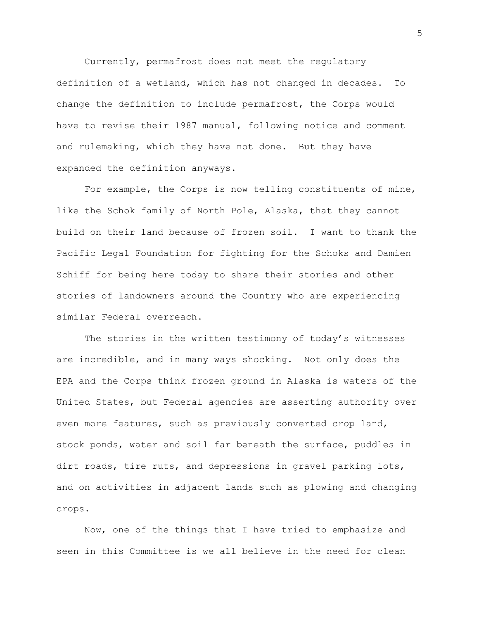Currently, permafrost does not meet the regulatory definition of a wetland, which has not changed in decades. To change the definition to include permafrost, the Corps would have to revise their 1987 manual, following notice and comment and rulemaking, which they have not done. But they have expanded the definition anyways.

For example, the Corps is now telling constituents of mine, like the Schok family of North Pole, Alaska, that they cannot build on their land because of frozen soil. I want to thank the Pacific Legal Foundation for fighting for the Schoks and Damien Schiff for being here today to share their stories and other stories of landowners around the Country who are experiencing similar Federal overreach.

The stories in the written testimony of today's witnesses are incredible, and in many ways shocking. Not only does the EPA and the Corps think frozen ground in Alaska is waters of the United States, but Federal agencies are asserting authority over even more features, such as previously converted crop land, stock ponds, water and soil far beneath the surface, puddles in dirt roads, tire ruts, and depressions in gravel parking lots, and on activities in adjacent lands such as plowing and changing crops.

Now, one of the things that I have tried to emphasize and seen in this Committee is we all believe in the need for clean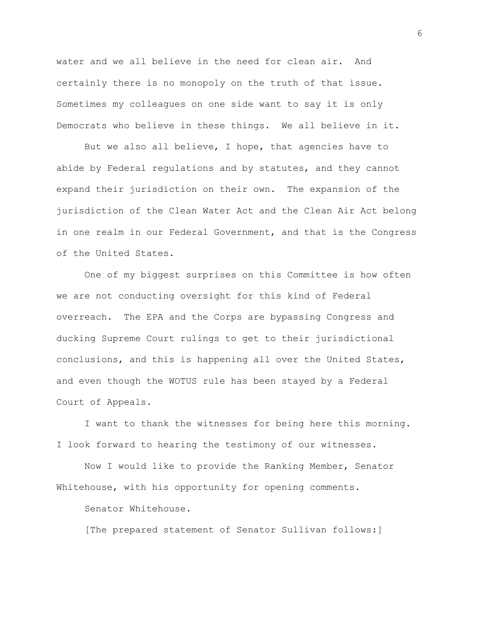water and we all believe in the need for clean air. And certainly there is no monopoly on the truth of that issue. Sometimes my colleagues on one side want to say it is only Democrats who believe in these things. We all believe in it.

But we also all believe, I hope, that agencies have to abide by Federal regulations and by statutes, and they cannot expand their jurisdiction on their own. The expansion of the jurisdiction of the Clean Water Act and the Clean Air Act belong in one realm in our Federal Government, and that is the Congress of the United States.

One of my biggest surprises on this Committee is how often we are not conducting oversight for this kind of Federal overreach. The EPA and the Corps are bypassing Congress and ducking Supreme Court rulings to get to their jurisdictional conclusions, and this is happening all over the United States, and even though the WOTUS rule has been stayed by a Federal Court of Appeals.

I want to thank the witnesses for being here this morning. I look forward to hearing the testimony of our witnesses.

Now I would like to provide the Ranking Member, Senator Whitehouse, with his opportunity for opening comments.

Senator Whitehouse.

[The prepared statement of Senator Sullivan follows:]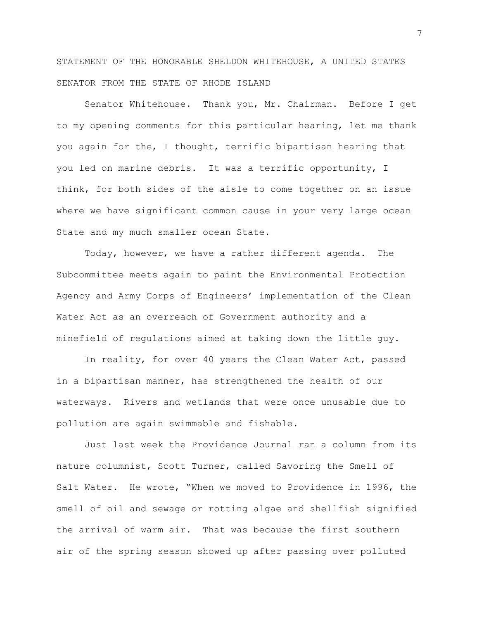STATEMENT OF THE HONORABLE SHELDON WHITEHOUSE, A UNITED STATES SENATOR FROM THE STATE OF RHODE ISLAND

Senator Whitehouse. Thank you, Mr. Chairman. Before I get to my opening comments for this particular hearing, let me thank you again for the, I thought, terrific bipartisan hearing that you led on marine debris. It was a terrific opportunity, I think, for both sides of the aisle to come together on an issue where we have significant common cause in your very large ocean State and my much smaller ocean State.

Today, however, we have a rather different agenda. The Subcommittee meets again to paint the Environmental Protection Agency and Army Corps of Engineers' implementation of the Clean Water Act as an overreach of Government authority and a minefield of regulations aimed at taking down the little guy.

In reality, for over 40 years the Clean Water Act, passed in a bipartisan manner, has strengthened the health of our waterways. Rivers and wetlands that were once unusable due to pollution are again swimmable and fishable.

Just last week the Providence Journal ran a column from its nature columnist, Scott Turner, called Savoring the Smell of Salt Water. He wrote, "When we moved to Providence in 1996, the smell of oil and sewage or rotting algae and shellfish signified the arrival of warm air. That was because the first southern air of the spring season showed up after passing over polluted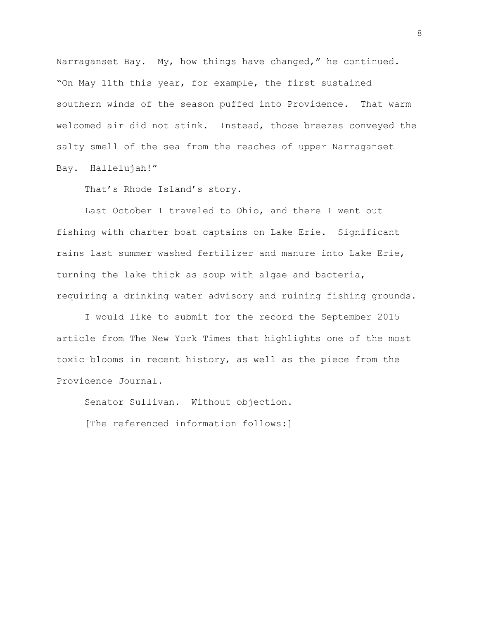Narraganset Bay. My, how things have changed," he continued. "On May 11th this year, for example, the first sustained southern winds of the season puffed into Providence. That warm welcomed air did not stink. Instead, those breezes conveyed the salty smell of the sea from the reaches of upper Narraganset Bay. Hallelujah!"

That's Rhode Island's story.

Last October I traveled to Ohio, and there I went out fishing with charter boat captains on Lake Erie. Significant rains last summer washed fertilizer and manure into Lake Erie, turning the lake thick as soup with algae and bacteria, requiring a drinking water advisory and ruining fishing grounds.

I would like to submit for the record the September 2015 article from The New York Times that highlights one of the most toxic blooms in recent history, as well as the piece from the Providence Journal.

Senator Sullivan. Without objection.

[The referenced information follows:]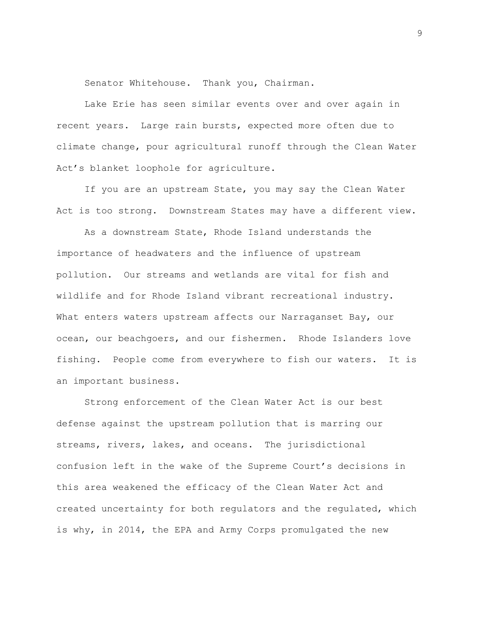Senator Whitehouse. Thank you, Chairman.

Lake Erie has seen similar events over and over again in recent years. Large rain bursts, expected more often due to climate change, pour agricultural runoff through the Clean Water Act's blanket loophole for agriculture.

If you are an upstream State, you may say the Clean Water Act is too strong. Downstream States may have a different view.

As a downstream State, Rhode Island understands the importance of headwaters and the influence of upstream pollution. Our streams and wetlands are vital for fish and wildlife and for Rhode Island vibrant recreational industry. What enters waters upstream affects our Narraganset Bay, our ocean, our beachgoers, and our fishermen. Rhode Islanders love fishing. People come from everywhere to fish our waters. It is an important business.

Strong enforcement of the Clean Water Act is our best defense against the upstream pollution that is marring our streams, rivers, lakes, and oceans. The jurisdictional confusion left in the wake of the Supreme Court's decisions in this area weakened the efficacy of the Clean Water Act and created uncertainty for both regulators and the regulated, which is why, in 2014, the EPA and Army Corps promulgated the new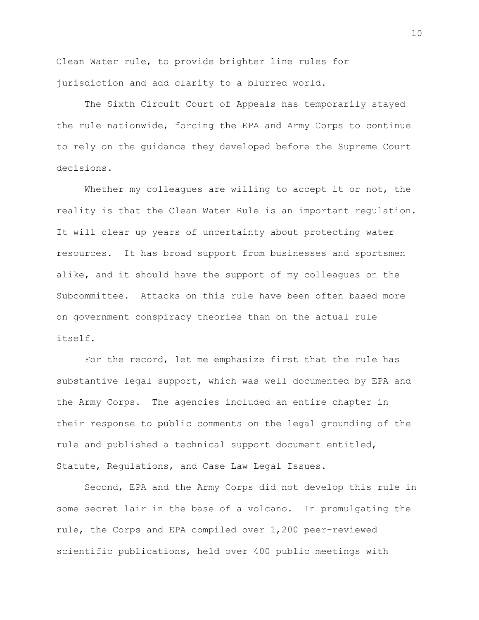Clean Water rule, to provide brighter line rules for jurisdiction and add clarity to a blurred world.

The Sixth Circuit Court of Appeals has temporarily stayed the rule nationwide, forcing the EPA and Army Corps to continue to rely on the guidance they developed before the Supreme Court decisions.

Whether my colleagues are willing to accept it or not, the reality is that the Clean Water Rule is an important regulation. It will clear up years of uncertainty about protecting water resources. It has broad support from businesses and sportsmen alike, and it should have the support of my colleagues on the Subcommittee. Attacks on this rule have been often based more on government conspiracy theories than on the actual rule itself.

For the record, let me emphasize first that the rule has substantive legal support, which was well documented by EPA and the Army Corps. The agencies included an entire chapter in their response to public comments on the legal grounding of the rule and published a technical support document entitled, Statute, Regulations, and Case Law Legal Issues.

Second, EPA and the Army Corps did not develop this rule in some secret lair in the base of a volcano. In promulgating the rule, the Corps and EPA compiled over 1,200 peer-reviewed scientific publications, held over 400 public meetings with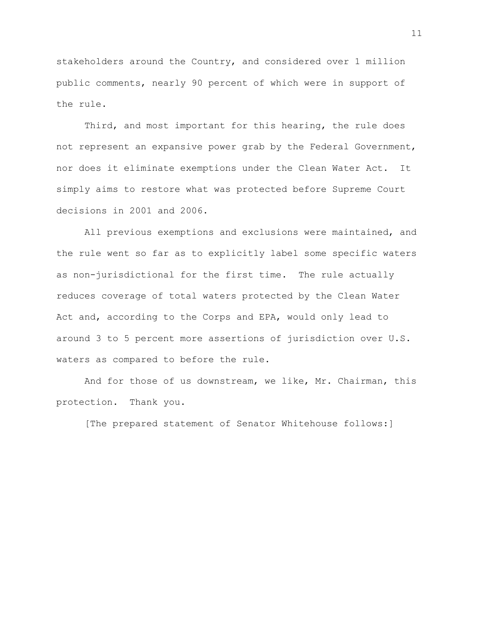stakeholders around the Country, and considered over 1 million public comments, nearly 90 percent of which were in support of the rule.

Third, and most important for this hearing, the rule does not represent an expansive power grab by the Federal Government, nor does it eliminate exemptions under the Clean Water Act. It simply aims to restore what was protected before Supreme Court decisions in 2001 and 2006.

All previous exemptions and exclusions were maintained, and the rule went so far as to explicitly label some specific waters as non-jurisdictional for the first time. The rule actually reduces coverage of total waters protected by the Clean Water Act and, according to the Corps and EPA, would only lead to around 3 to 5 percent more assertions of jurisdiction over U.S. waters as compared to before the rule.

And for those of us downstream, we like, Mr. Chairman, this protection. Thank you.

[The prepared statement of Senator Whitehouse follows:]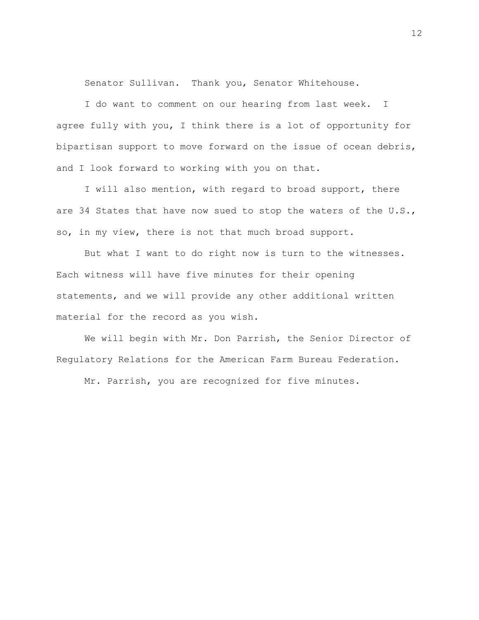Senator Sullivan. Thank you, Senator Whitehouse.

I do want to comment on our hearing from last week. I agree fully with you, I think there is a lot of opportunity for bipartisan support to move forward on the issue of ocean debris, and I look forward to working with you on that.

I will also mention, with regard to broad support, there are 34 States that have now sued to stop the waters of the U.S., so, in my view, there is not that much broad support.

But what I want to do right now is turn to the witnesses. Each witness will have five minutes for their opening statements, and we will provide any other additional written material for the record as you wish.

We will begin with Mr. Don Parrish, the Senior Director of Regulatory Relations for the American Farm Bureau Federation.

Mr. Parrish, you are recognized for five minutes.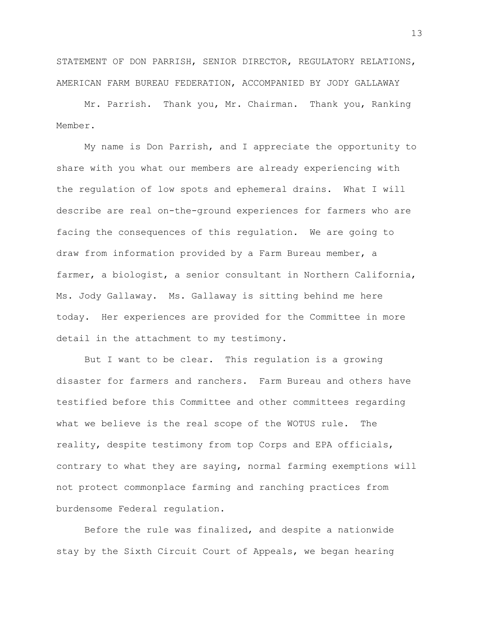STATEMENT OF DON PARRISH, SENIOR DIRECTOR, REGULATORY RELATIONS, AMERICAN FARM BUREAU FEDERATION, ACCOMPANIED BY JODY GALLAWAY

Mr. Parrish. Thank you, Mr. Chairman. Thank you, Ranking Member.

My name is Don Parrish, and I appreciate the opportunity to share with you what our members are already experiencing with the regulation of low spots and ephemeral drains. What I will describe are real on-the-ground experiences for farmers who are facing the consequences of this regulation. We are going to draw from information provided by a Farm Bureau member, a farmer, a biologist, a senior consultant in Northern California, Ms. Jody Gallaway. Ms. Gallaway is sitting behind me here today. Her experiences are provided for the Committee in more detail in the attachment to my testimony.

But I want to be clear. This regulation is a growing disaster for farmers and ranchers. Farm Bureau and others have testified before this Committee and other committees regarding what we believe is the real scope of the WOTUS rule. The reality, despite testimony from top Corps and EPA officials, contrary to what they are saying, normal farming exemptions will not protect commonplace farming and ranching practices from burdensome Federal regulation.

Before the rule was finalized, and despite a nationwide stay by the Sixth Circuit Court of Appeals, we began hearing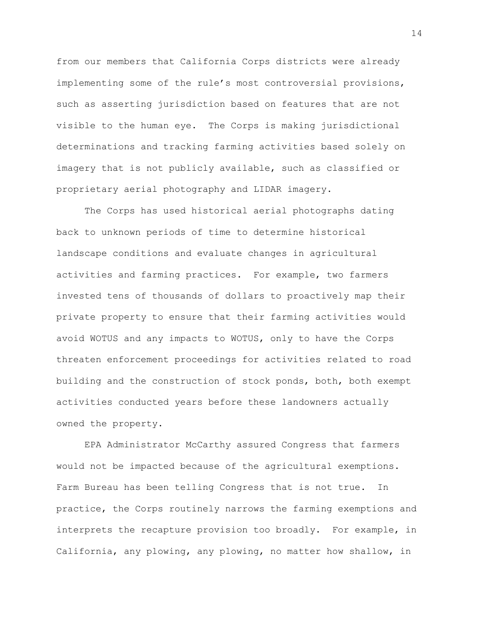from our members that California Corps districts were already implementing some of the rule's most controversial provisions, such as asserting jurisdiction based on features that are not visible to the human eye. The Corps is making jurisdictional determinations and tracking farming activities based solely on imagery that is not publicly available, such as classified or proprietary aerial photography and LIDAR imagery.

The Corps has used historical aerial photographs dating back to unknown periods of time to determine historical landscape conditions and evaluate changes in agricultural activities and farming practices. For example, two farmers invested tens of thousands of dollars to proactively map their private property to ensure that their farming activities would avoid WOTUS and any impacts to WOTUS, only to have the Corps threaten enforcement proceedings for activities related to road building and the construction of stock ponds, both, both exempt activities conducted years before these landowners actually owned the property.

EPA Administrator McCarthy assured Congress that farmers would not be impacted because of the agricultural exemptions. Farm Bureau has been telling Congress that is not true. In practice, the Corps routinely narrows the farming exemptions and interprets the recapture provision too broadly. For example, in California, any plowing, any plowing, no matter how shallow, in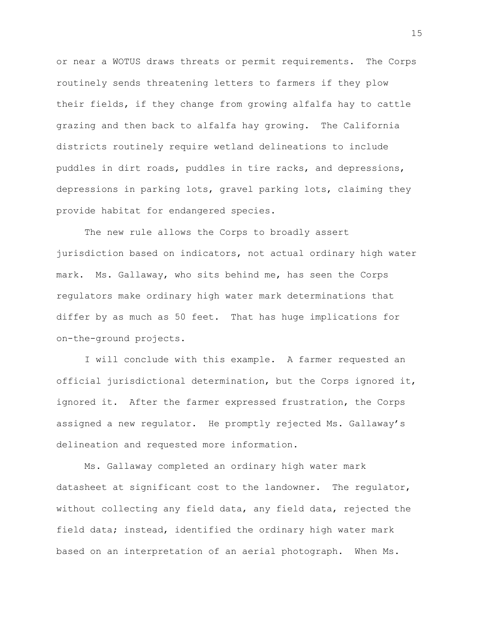or near a WOTUS draws threats or permit requirements. The Corps routinely sends threatening letters to farmers if they plow their fields, if they change from growing alfalfa hay to cattle grazing and then back to alfalfa hay growing. The California districts routinely require wetland delineations to include puddles in dirt roads, puddles in tire racks, and depressions, depressions in parking lots, gravel parking lots, claiming they provide habitat for endangered species.

The new rule allows the Corps to broadly assert jurisdiction based on indicators, not actual ordinary high water mark. Ms. Gallaway, who sits behind me, has seen the Corps regulators make ordinary high water mark determinations that differ by as much as 50 feet. That has huge implications for on-the-ground projects.

I will conclude with this example. A farmer requested an official jurisdictional determination, but the Corps ignored it, ignored it. After the farmer expressed frustration, the Corps assigned a new regulator. He promptly rejected Ms. Gallaway's delineation and requested more information.

Ms. Gallaway completed an ordinary high water mark datasheet at significant cost to the landowner. The regulator, without collecting any field data, any field data, rejected the field data; instead, identified the ordinary high water mark based on an interpretation of an aerial photograph. When Ms.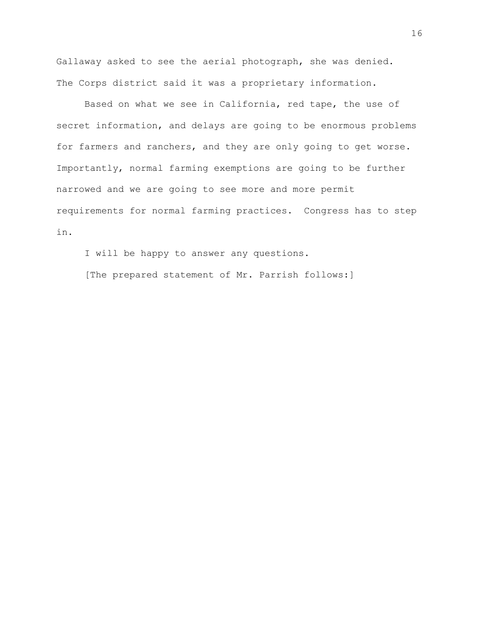Gallaway asked to see the aerial photograph, she was denied. The Corps district said it was a proprietary information.

Based on what we see in California, red tape, the use of secret information, and delays are going to be enormous problems for farmers and ranchers, and they are only going to get worse. Importantly, normal farming exemptions are going to be further narrowed and we are going to see more and more permit requirements for normal farming practices. Congress has to step in.

I will be happy to answer any questions.

[The prepared statement of Mr. Parrish follows:]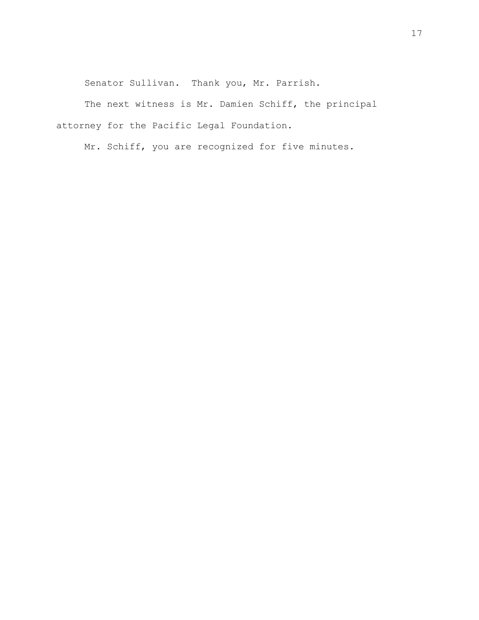Senator Sullivan. Thank you, Mr. Parrish.

The next witness is Mr. Damien Schiff, the principal attorney for the Pacific Legal Foundation.

Mr. Schiff, you are recognized for five minutes.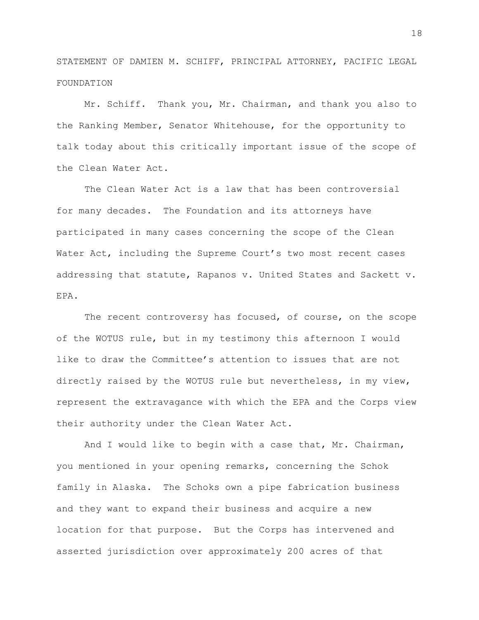STATEMENT OF DAMIEN M. SCHIFF, PRINCIPAL ATTORNEY, PACIFIC LEGAL FOUNDATION

Mr. Schiff. Thank you, Mr. Chairman, and thank you also to the Ranking Member, Senator Whitehouse, for the opportunity to talk today about this critically important issue of the scope of the Clean Water Act.

The Clean Water Act is a law that has been controversial for many decades. The Foundation and its attorneys have participated in many cases concerning the scope of the Clean Water Act, including the Supreme Court's two most recent cases addressing that statute, Rapanos v. United States and Sackett v. EPA.

The recent controversy has focused, of course, on the scope of the WOTUS rule, but in my testimony this afternoon I would like to draw the Committee's attention to issues that are not directly raised by the WOTUS rule but nevertheless, in my view, represent the extravagance with which the EPA and the Corps view their authority under the Clean Water Act.

And I would like to begin with a case that, Mr. Chairman, you mentioned in your opening remarks, concerning the Schok family in Alaska. The Schoks own a pipe fabrication business and they want to expand their business and acquire a new location for that purpose. But the Corps has intervened and asserted jurisdiction over approximately 200 acres of that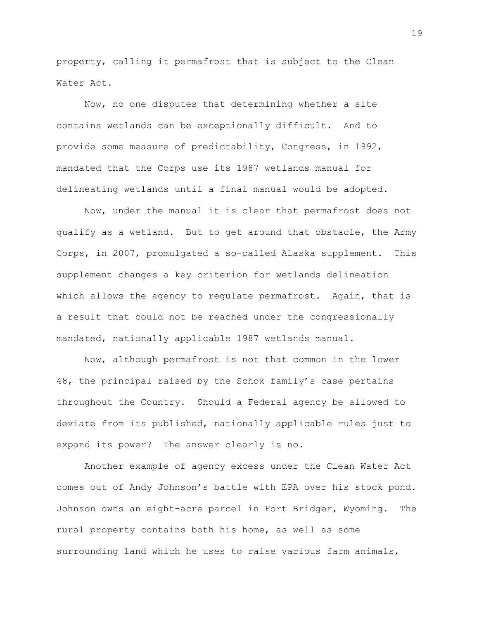property, calling it permafrost that is subject to the Clean Water Act.

Now, no one disputes that determining whether a site contains wetlands can be exceptionally difficult. And to provide some measure of predictability, Congress, in 1992, mandated that the Corps use its 1987 wetlands manual for delineating wetlands until a final manual would be adopted.

Now, under the manual it is clear that permafrost does not qualify as a wetland. But to get around that obstacle, the Army Corps, in 2007, promulgated a so-called Alaska supplement. This supplement changes a key criterion for wetlands delineation which allows the agency to regulate permafrost. Again, that is a result that could not be reached under the congressionally mandated, nationally applicable 1987 wetlands manual.

Now, although permafrost is not that common in the lower 48, the principal raised by the Schok family's case pertains throughout the Country. Should a Federal agency be allowed to deviate from its published, nationally applicable rules just to expand its power? The answer clearly is no.

Another example of agency excess under the Clean Water Act comes out of Andy Johnson's battle with EPA over his stock pond. Johnson owns an eight-acre parcel in Fort Bridger, Wyoming. The rural property contains both his home, as well as some surrounding land which he uses to raise various farm animals,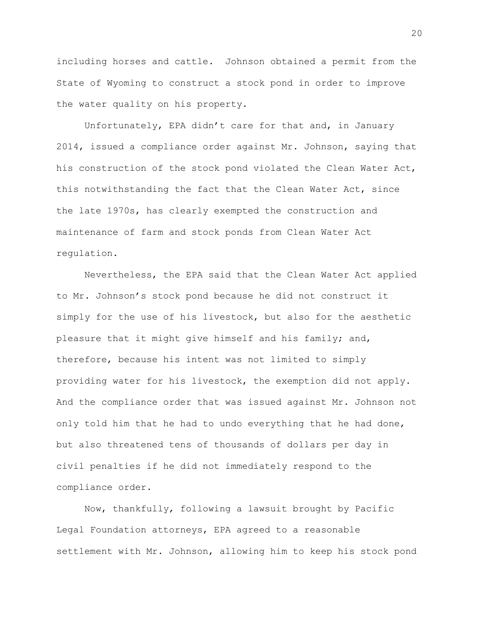including horses and cattle. Johnson obtained a permit from the State of Wyoming to construct a stock pond in order to improve the water quality on his property.

Unfortunately, EPA didn't care for that and, in January 2014, issued a compliance order against Mr. Johnson, saying that his construction of the stock pond violated the Clean Water Act, this notwithstanding the fact that the Clean Water Act, since the late 1970s, has clearly exempted the construction and maintenance of farm and stock ponds from Clean Water Act regulation.

Nevertheless, the EPA said that the Clean Water Act applied to Mr. Johnson's stock pond because he did not construct it simply for the use of his livestock, but also for the aesthetic pleasure that it might give himself and his family; and, therefore, because his intent was not limited to simply providing water for his livestock, the exemption did not apply. And the compliance order that was issued against Mr. Johnson not only told him that he had to undo everything that he had done, but also threatened tens of thousands of dollars per day in civil penalties if he did not immediately respond to the compliance order.

Now, thankfully, following a lawsuit brought by Pacific Legal Foundation attorneys, EPA agreed to a reasonable settlement with Mr. Johnson, allowing him to keep his stock pond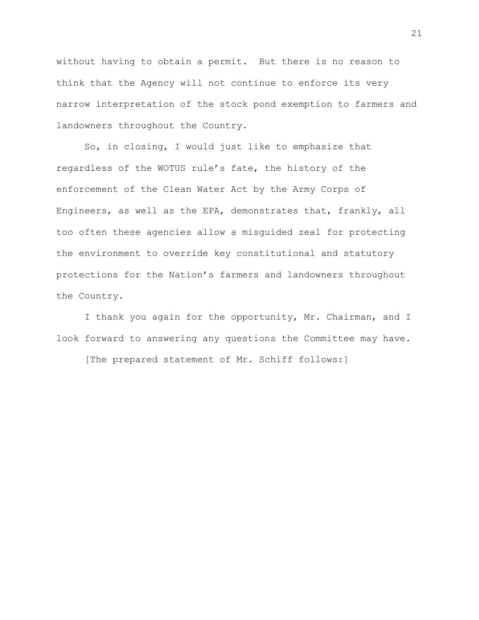without having to obtain a permit. But there is no reason to think that the Agency will not continue to enforce its very narrow interpretation of the stock pond exemption to farmers and landowners throughout the Country.

So, in closing, I would just like to emphasize that regardless of the WOTUS rule's fate, the history of the enforcement of the Clean Water Act by the Army Corps of Engineers, as well as the EPA, demonstrates that, frankly, all too often these agencies allow a misguided zeal for protecting the environment to override key constitutional and statutory protections for the Nation's farmers and landowners throughout the Country.

I thank you again for the opportunity, Mr. Chairman, and I look forward to answering any questions the Committee may have.

[The prepared statement of Mr. Schiff follows:]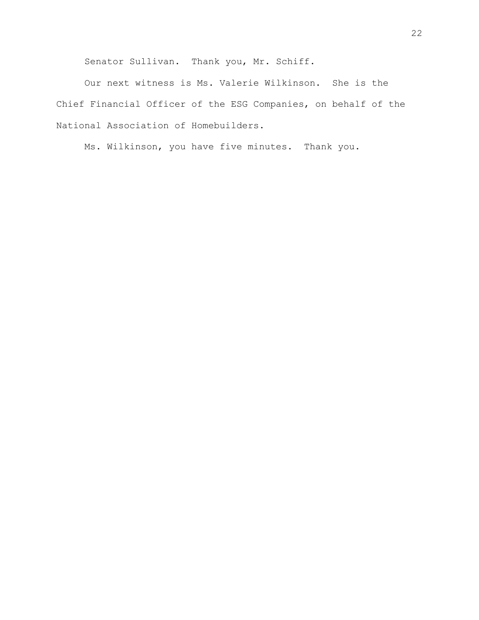Senator Sullivan. Thank you, Mr. Schiff.

Our next witness is Ms. Valerie Wilkinson. She is the Chief Financial Officer of the ESG Companies, on behalf of the National Association of Homebuilders.

Ms. Wilkinson, you have five minutes. Thank you.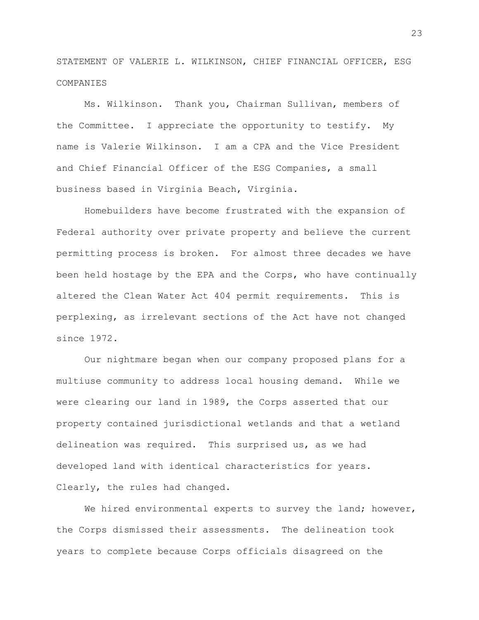STATEMENT OF VALERIE L. WILKINSON, CHIEF FINANCIAL OFFICER, ESG COMPANIES

Ms. Wilkinson. Thank you, Chairman Sullivan, members of the Committee. I appreciate the opportunity to testify. My name is Valerie Wilkinson. I am a CPA and the Vice President and Chief Financial Officer of the ESG Companies, a small business based in Virginia Beach, Virginia.

Homebuilders have become frustrated with the expansion of Federal authority over private property and believe the current permitting process is broken. For almost three decades we have been held hostage by the EPA and the Corps, who have continually altered the Clean Water Act 404 permit requirements. This is perplexing, as irrelevant sections of the Act have not changed since 1972.

Our nightmare began when our company proposed plans for a multiuse community to address local housing demand. While we were clearing our land in 1989, the Corps asserted that our property contained jurisdictional wetlands and that a wetland delineation was required. This surprised us, as we had developed land with identical characteristics for years. Clearly, the rules had changed.

We hired environmental experts to survey the land; however, the Corps dismissed their assessments. The delineation took years to complete because Corps officials disagreed on the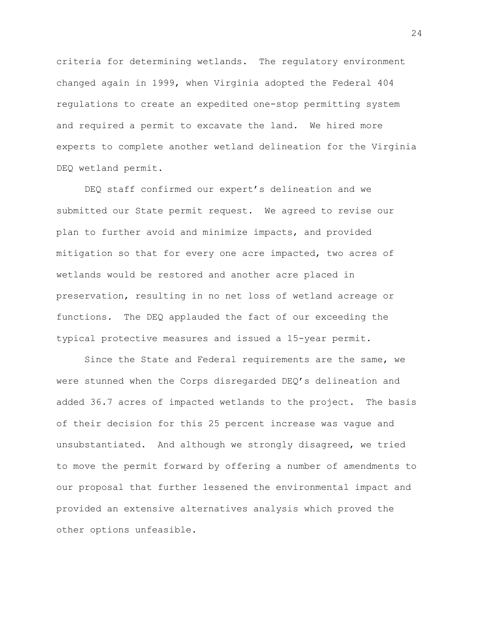criteria for determining wetlands. The regulatory environment changed again in 1999, when Virginia adopted the Federal 404 regulations to create an expedited one-stop permitting system and required a permit to excavate the land. We hired more experts to complete another wetland delineation for the Virginia DEQ wetland permit.

DEQ staff confirmed our expert's delineation and we submitted our State permit request. We agreed to revise our plan to further avoid and minimize impacts, and provided mitigation so that for every one acre impacted, two acres of wetlands would be restored and another acre placed in preservation, resulting in no net loss of wetland acreage or functions. The DEQ applauded the fact of our exceeding the typical protective measures and issued a 15-year permit.

Since the State and Federal requirements are the same, we were stunned when the Corps disregarded DEQ's delineation and added 36.7 acres of impacted wetlands to the project. The basis of their decision for this 25 percent increase was vague and unsubstantiated. And although we strongly disagreed, we tried to move the permit forward by offering a number of amendments to our proposal that further lessened the environmental impact and provided an extensive alternatives analysis which proved the other options unfeasible.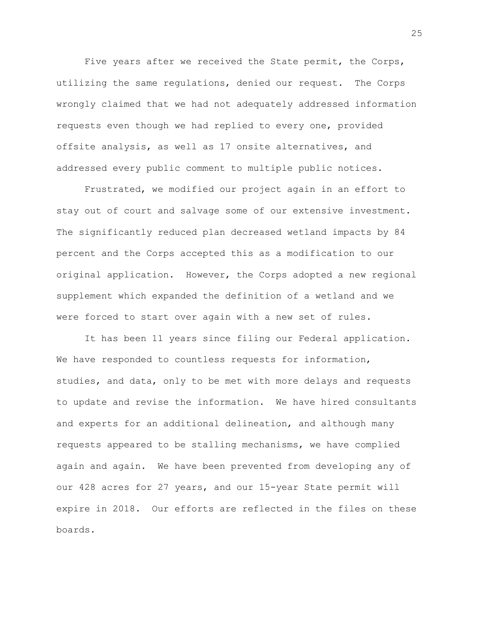Five years after we received the State permit, the Corps, utilizing the same regulations, denied our request. The Corps wrongly claimed that we had not adequately addressed information requests even though we had replied to every one, provided offsite analysis, as well as 17 onsite alternatives, and addressed every public comment to multiple public notices.

Frustrated, we modified our project again in an effort to stay out of court and salvage some of our extensive investment. The significantly reduced plan decreased wetland impacts by 84 percent and the Corps accepted this as a modification to our original application. However, the Corps adopted a new regional supplement which expanded the definition of a wetland and we were forced to start over again with a new set of rules.

It has been 11 years since filing our Federal application. We have responded to countless requests for information, studies, and data, only to be met with more delays and requests to update and revise the information. We have hired consultants and experts for an additional delineation, and although many requests appeared to be stalling mechanisms, we have complied again and again. We have been prevented from developing any of our 428 acres for 27 years, and our 15-year State permit will expire in 2018. Our efforts are reflected in the files on these boards.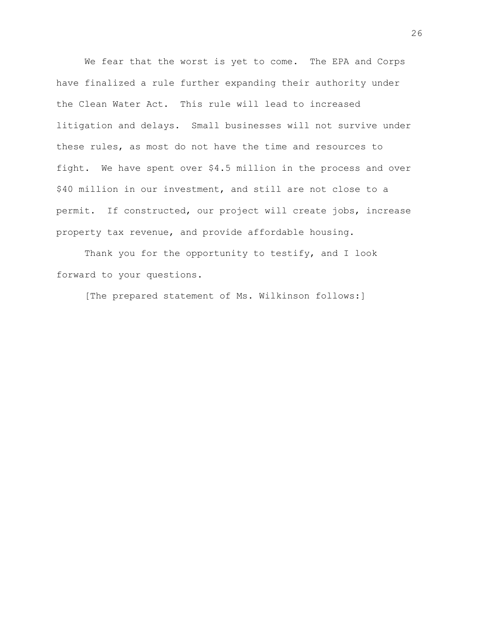We fear that the worst is yet to come. The EPA and Corps have finalized a rule further expanding their authority under the Clean Water Act. This rule will lead to increased litigation and delays. Small businesses will not survive under these rules, as most do not have the time and resources to fight. We have spent over \$4.5 million in the process and over \$40 million in our investment, and still are not close to a permit. If constructed, our project will create jobs, increase property tax revenue, and provide affordable housing.

Thank you for the opportunity to testify, and I look forward to your questions.

[The prepared statement of Ms. Wilkinson follows:]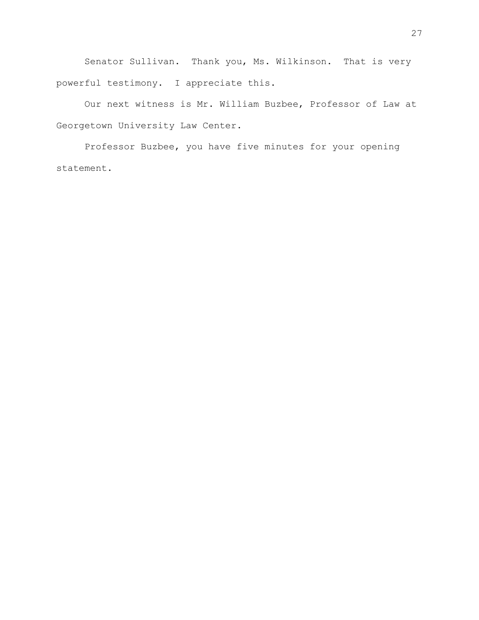Senator Sullivan. Thank you, Ms. Wilkinson. That is very powerful testimony. I appreciate this.

Our next witness is Mr. William Buzbee, Professor of Law at Georgetown University Law Center.

Professor Buzbee, you have five minutes for your opening statement.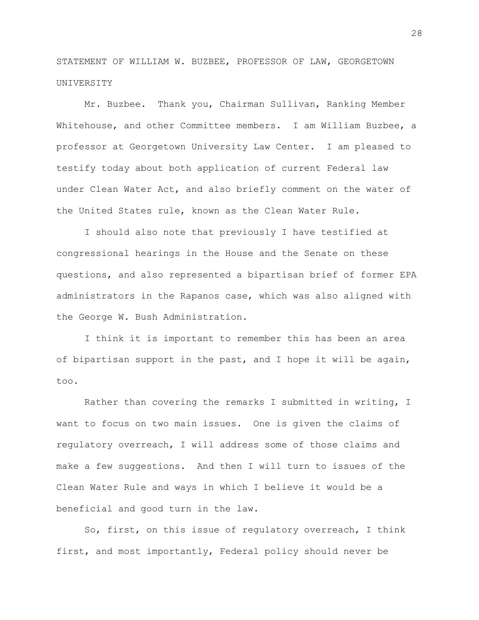STATEMENT OF WILLIAM W. BUZBEE, PROFESSOR OF LAW, GEORGETOWN UNIVERSITY

Mr. Buzbee. Thank you, Chairman Sullivan, Ranking Member Whitehouse, and other Committee members. I am William Buzbee, a professor at Georgetown University Law Center. I am pleased to testify today about both application of current Federal law under Clean Water Act, and also briefly comment on the water of the United States rule, known as the Clean Water Rule.

I should also note that previously I have testified at congressional hearings in the House and the Senate on these questions, and also represented a bipartisan brief of former EPA administrators in the Rapanos case, which was also aligned with the George W. Bush Administration.

I think it is important to remember this has been an area of bipartisan support in the past, and I hope it will be again, too.

Rather than covering the remarks I submitted in writing, I want to focus on two main issues. One is given the claims of regulatory overreach, I will address some of those claims and make a few suggestions. And then I will turn to issues of the Clean Water Rule and ways in which I believe it would be a beneficial and good turn in the law.

So, first, on this issue of regulatory overreach, I think first, and most importantly, Federal policy should never be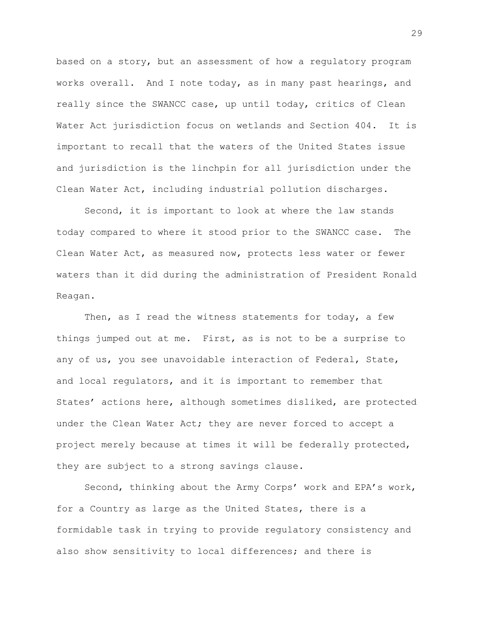based on a story, but an assessment of how a regulatory program works overall. And I note today, as in many past hearings, and really since the SWANCC case, up until today, critics of Clean Water Act jurisdiction focus on wetlands and Section 404. It is important to recall that the waters of the United States issue and jurisdiction is the linchpin for all jurisdiction under the Clean Water Act, including industrial pollution discharges.

Second, it is important to look at where the law stands today compared to where it stood prior to the SWANCC case. The Clean Water Act, as measured now, protects less water or fewer waters than it did during the administration of President Ronald Reagan.

Then, as I read the witness statements for today, a few things jumped out at me. First, as is not to be a surprise to any of us, you see unavoidable interaction of Federal, State, and local regulators, and it is important to remember that States' actions here, although sometimes disliked, are protected under the Clean Water Act; they are never forced to accept a project merely because at times it will be federally protected, they are subject to a strong savings clause.

Second, thinking about the Army Corps' work and EPA's work, for a Country as large as the United States, there is a formidable task in trying to provide regulatory consistency and also show sensitivity to local differences; and there is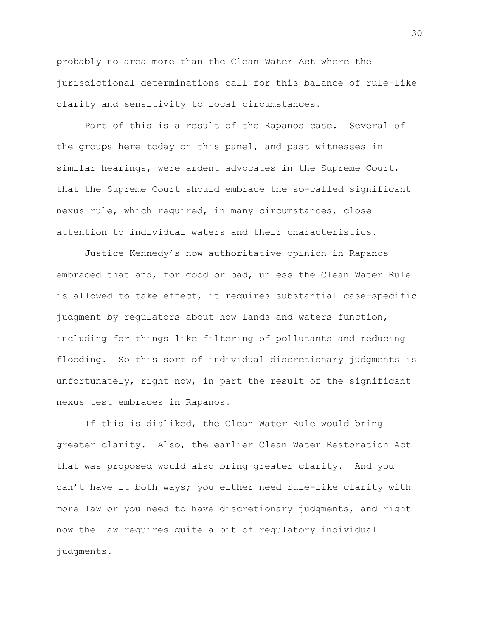probably no area more than the Clean Water Act where the jurisdictional determinations call for this balance of rule-like clarity and sensitivity to local circumstances.

Part of this is a result of the Rapanos case. Several of the groups here today on this panel, and past witnesses in similar hearings, were ardent advocates in the Supreme Court, that the Supreme Court should embrace the so-called significant nexus rule, which required, in many circumstances, close attention to individual waters and their characteristics.

Justice Kennedy's now authoritative opinion in Rapanos embraced that and, for good or bad, unless the Clean Water Rule is allowed to take effect, it requires substantial case-specific judgment by regulators about how lands and waters function, including for things like filtering of pollutants and reducing flooding. So this sort of individual discretionary judgments is unfortunately, right now, in part the result of the significant nexus test embraces in Rapanos.

If this is disliked, the Clean Water Rule would bring greater clarity. Also, the earlier Clean Water Restoration Act that was proposed would also bring greater clarity. And you can't have it both ways; you either need rule-like clarity with more law or you need to have discretionary judgments, and right now the law requires quite a bit of regulatory individual judgments.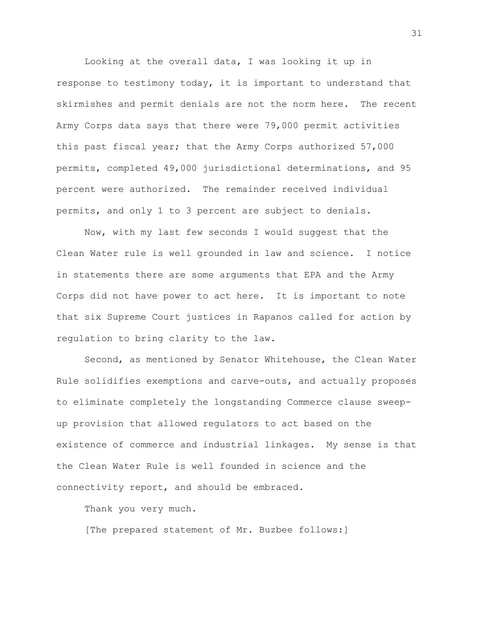Looking at the overall data, I was looking it up in response to testimony today, it is important to understand that skirmishes and permit denials are not the norm here. The recent Army Corps data says that there were 79,000 permit activities this past fiscal year; that the Army Corps authorized 57,000 permits, completed 49,000 jurisdictional determinations, and 95 percent were authorized. The remainder received individual permits, and only 1 to 3 percent are subject to denials.

Now, with my last few seconds I would suggest that the Clean Water rule is well grounded in law and science. I notice in statements there are some arguments that EPA and the Army Corps did not have power to act here. It is important to note that six Supreme Court justices in Rapanos called for action by regulation to bring clarity to the law.

Second, as mentioned by Senator Whitehouse, the Clean Water Rule solidifies exemptions and carve-outs, and actually proposes to eliminate completely the longstanding Commerce clause sweepup provision that allowed regulators to act based on the existence of commerce and industrial linkages. My sense is that the Clean Water Rule is well founded in science and the connectivity report, and should be embraced.

Thank you very much.

[The prepared statement of Mr. Buzbee follows:]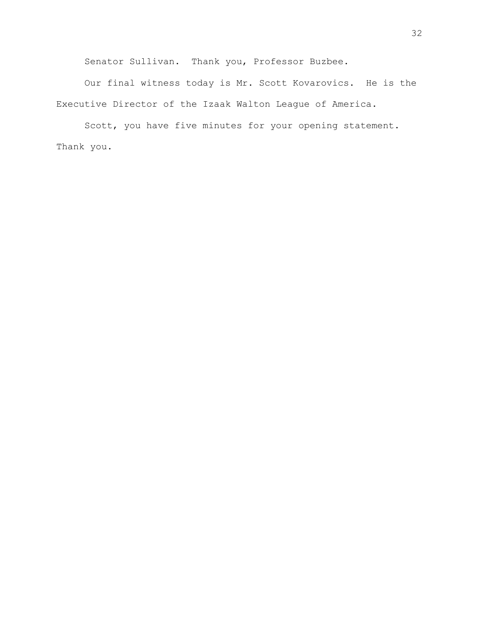Senator Sullivan. Thank you, Professor Buzbee.

Our final witness today is Mr. Scott Kovarovics. He is the Executive Director of the Izaak Walton League of America.

Scott, you have five minutes for your opening statement. Thank you.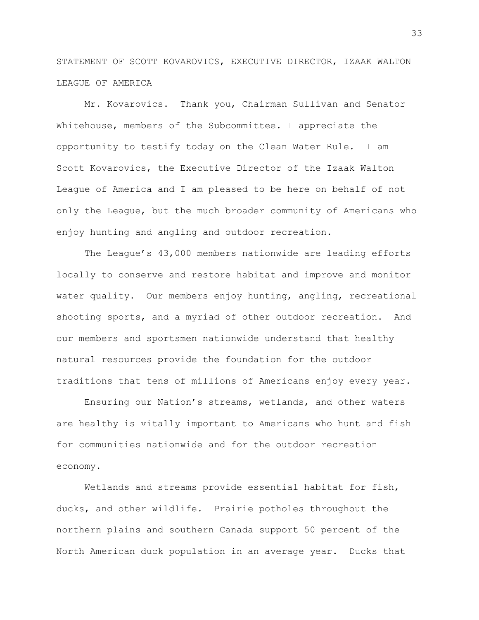STATEMENT OF SCOTT KOVAROVICS, EXECUTIVE DIRECTOR, IZAAK WALTON LEAGUE OF AMERICA

Mr. Kovarovics. Thank you, Chairman Sullivan and Senator Whitehouse, members of the Subcommittee. I appreciate the opportunity to testify today on the Clean Water Rule. I am Scott Kovarovics, the Executive Director of the Izaak Walton League of America and I am pleased to be here on behalf of not only the League, but the much broader community of Americans who enjoy hunting and angling and outdoor recreation.

The League's 43,000 members nationwide are leading efforts locally to conserve and restore habitat and improve and monitor water quality. Our members enjoy hunting, angling, recreational shooting sports, and a myriad of other outdoor recreation. And our members and sportsmen nationwide understand that healthy natural resources provide the foundation for the outdoor traditions that tens of millions of Americans enjoy every year.

Ensuring our Nation's streams, wetlands, and other waters are healthy is vitally important to Americans who hunt and fish for communities nationwide and for the outdoor recreation economy.

Wetlands and streams provide essential habitat for fish, ducks, and other wildlife. Prairie potholes throughout the northern plains and southern Canada support 50 percent of the North American duck population in an average year. Ducks that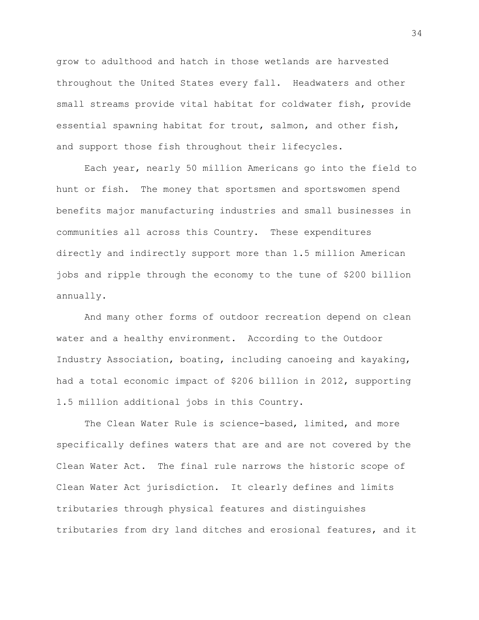grow to adulthood and hatch in those wetlands are harvested throughout the United States every fall. Headwaters and other small streams provide vital habitat for coldwater fish, provide essential spawning habitat for trout, salmon, and other fish, and support those fish throughout their lifecycles.

Each year, nearly 50 million Americans go into the field to hunt or fish. The money that sportsmen and sportswomen spend benefits major manufacturing industries and small businesses in communities all across this Country. These expenditures directly and indirectly support more than 1.5 million American jobs and ripple through the economy to the tune of \$200 billion annually.

And many other forms of outdoor recreation depend on clean water and a healthy environment. According to the Outdoor Industry Association, boating, including canoeing and kayaking, had a total economic impact of \$206 billion in 2012, supporting 1.5 million additional jobs in this Country.

The Clean Water Rule is science-based, limited, and more specifically defines waters that are and are not covered by the Clean Water Act. The final rule narrows the historic scope of Clean Water Act jurisdiction. It clearly defines and limits tributaries through physical features and distinguishes tributaries from dry land ditches and erosional features, and it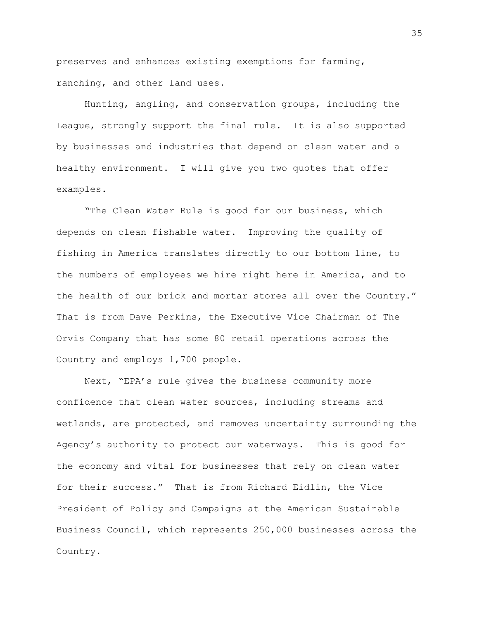preserves and enhances existing exemptions for farming, ranching, and other land uses.

Hunting, angling, and conservation groups, including the League, strongly support the final rule. It is also supported by businesses and industries that depend on clean water and a healthy environment. I will give you two quotes that offer examples.

"The Clean Water Rule is good for our business, which depends on clean fishable water. Improving the quality of fishing in America translates directly to our bottom line, to the numbers of employees we hire right here in America, and to the health of our brick and mortar stores all over the Country." That is from Dave Perkins, the Executive Vice Chairman of The Orvis Company that has some 80 retail operations across the Country and employs 1,700 people.

Next, "EPA's rule gives the business community more confidence that clean water sources, including streams and wetlands, are protected, and removes uncertainty surrounding the Agency's authority to protect our waterways. This is good for the economy and vital for businesses that rely on clean water for their success." That is from Richard Eidlin, the Vice President of Policy and Campaigns at the American Sustainable Business Council, which represents 250,000 businesses across the Country.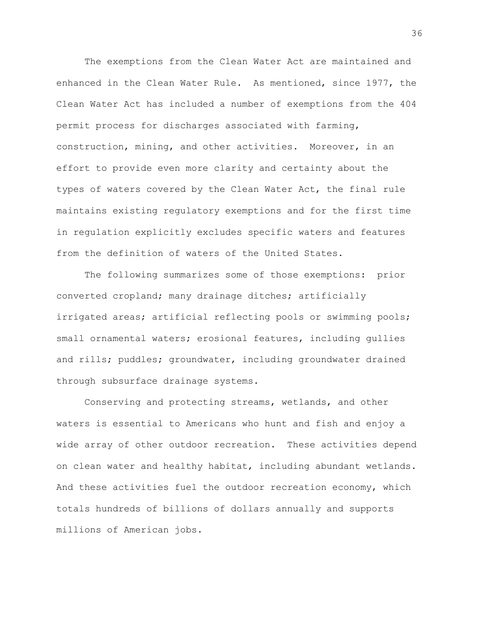The exemptions from the Clean Water Act are maintained and enhanced in the Clean Water Rule. As mentioned, since 1977, the Clean Water Act has included a number of exemptions from the 404 permit process for discharges associated with farming, construction, mining, and other activities. Moreover, in an effort to provide even more clarity and certainty about the types of waters covered by the Clean Water Act, the final rule maintains existing regulatory exemptions and for the first time in regulation explicitly excludes specific waters and features from the definition of waters of the United States.

The following summarizes some of those exemptions: prior converted cropland; many drainage ditches; artificially irrigated areas; artificial reflecting pools or swimming pools; small ornamental waters; erosional features, including gullies and rills; puddles; groundwater, including groundwater drained through subsurface drainage systems.

Conserving and protecting streams, wetlands, and other waters is essential to Americans who hunt and fish and enjoy a wide array of other outdoor recreation. These activities depend on clean water and healthy habitat, including abundant wetlands. And these activities fuel the outdoor recreation economy, which totals hundreds of billions of dollars annually and supports millions of American jobs.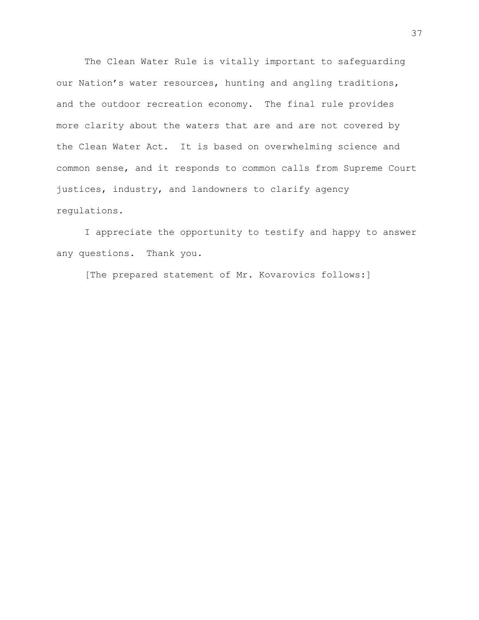The Clean Water Rule is vitally important to safeguarding our Nation's water resources, hunting and angling traditions, and the outdoor recreation economy. The final rule provides more clarity about the waters that are and are not covered by the Clean Water Act. It is based on overwhelming science and common sense, and it responds to common calls from Supreme Court justices, industry, and landowners to clarify agency regulations.

I appreciate the opportunity to testify and happy to answer any questions. Thank you.

[The prepared statement of Mr. Kovarovics follows:]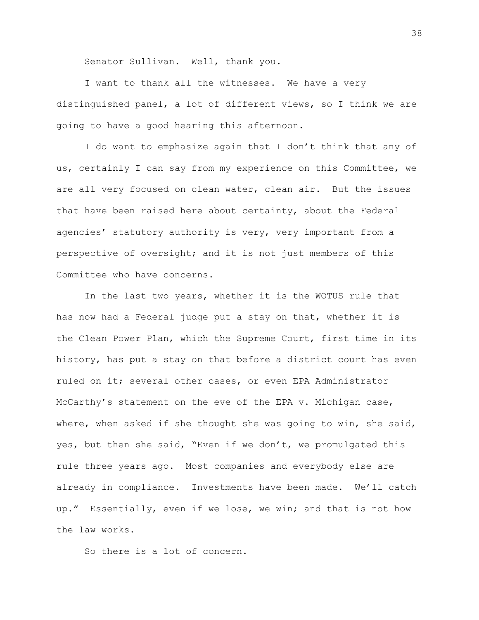Senator Sullivan. Well, thank you.

I want to thank all the witnesses. We have a very distinguished panel, a lot of different views, so I think we are going to have a good hearing this afternoon.

I do want to emphasize again that I don't think that any of us, certainly I can say from my experience on this Committee, we are all very focused on clean water, clean air. But the issues that have been raised here about certainty, about the Federal agencies' statutory authority is very, very important from a perspective of oversight; and it is not just members of this Committee who have concerns.

In the last two years, whether it is the WOTUS rule that has now had a Federal judge put a stay on that, whether it is the Clean Power Plan, which the Supreme Court, first time in its history, has put a stay on that before a district court has even ruled on it; several other cases, or even EPA Administrator McCarthy's statement on the eve of the EPA v. Michigan case, where, when asked if she thought she was going to win, she said, yes, but then she said, "Even if we don't, we promulgated this rule three years ago. Most companies and everybody else are already in compliance. Investments have been made. We'll catch up." Essentially, even if we lose, we win; and that is not how the law works.

So there is a lot of concern.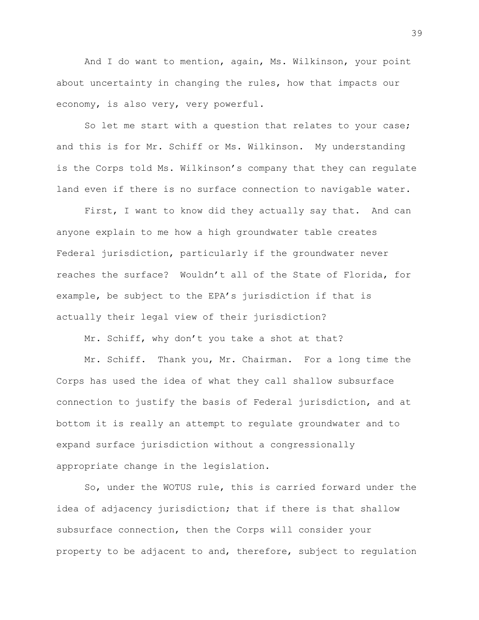And I do want to mention, again, Ms. Wilkinson, your point about uncertainty in changing the rules, how that impacts our economy, is also very, very powerful.

So let me start with a question that relates to your case; and this is for Mr. Schiff or Ms. Wilkinson. My understanding is the Corps told Ms. Wilkinson's company that they can regulate land even if there is no surface connection to navigable water.

First, I want to know did they actually say that. And can anyone explain to me how a high groundwater table creates Federal jurisdiction, particularly if the groundwater never reaches the surface? Wouldn't all of the State of Florida, for example, be subject to the EPA's jurisdiction if that is actually their legal view of their jurisdiction?

Mr. Schiff, why don't you take a shot at that?

Mr. Schiff. Thank you, Mr. Chairman. For a long time the Corps has used the idea of what they call shallow subsurface connection to justify the basis of Federal jurisdiction, and at bottom it is really an attempt to regulate groundwater and to expand surface jurisdiction without a congressionally appropriate change in the legislation.

So, under the WOTUS rule, this is carried forward under the idea of adjacency jurisdiction; that if there is that shallow subsurface connection, then the Corps will consider your property to be adjacent to and, therefore, subject to regulation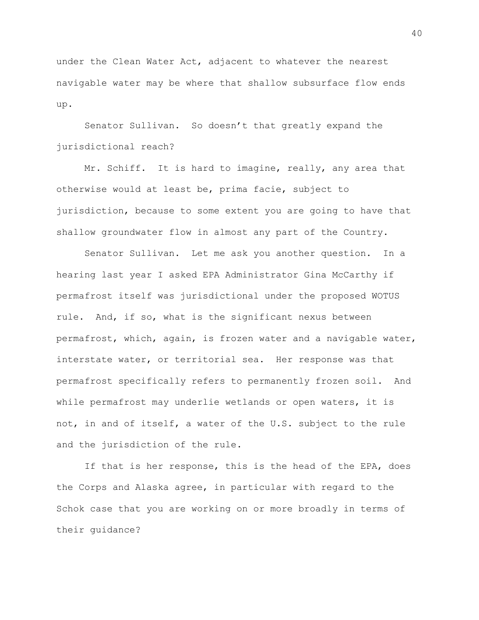under the Clean Water Act, adjacent to whatever the nearest navigable water may be where that shallow subsurface flow ends up.

Senator Sullivan. So doesn't that greatly expand the jurisdictional reach?

Mr. Schiff. It is hard to imagine, really, any area that otherwise would at least be, prima facie, subject to jurisdiction, because to some extent you are going to have that shallow groundwater flow in almost any part of the Country.

Senator Sullivan. Let me ask you another question. In a hearing last year I asked EPA Administrator Gina McCarthy if permafrost itself was jurisdictional under the proposed WOTUS rule. And, if so, what is the significant nexus between permafrost, which, again, is frozen water and a navigable water, interstate water, or territorial sea. Her response was that permafrost specifically refers to permanently frozen soil. And while permafrost may underlie wetlands or open waters, it is not, in and of itself, a water of the U.S. subject to the rule and the jurisdiction of the rule.

If that is her response, this is the head of the EPA, does the Corps and Alaska agree, in particular with regard to the Schok case that you are working on or more broadly in terms of their guidance?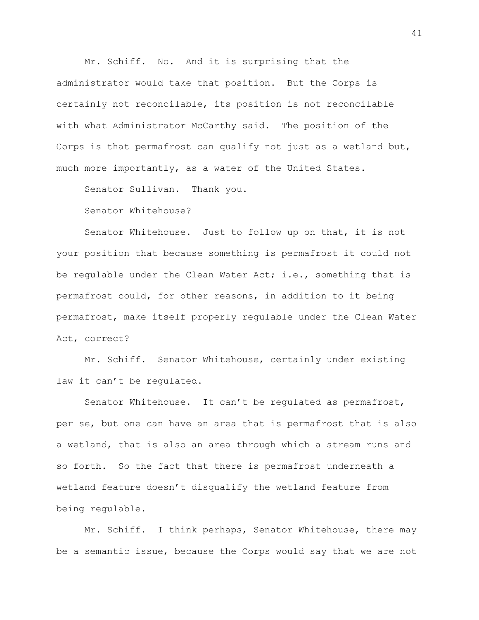Mr. Schiff. No. And it is surprising that the administrator would take that position. But the Corps is certainly not reconcilable, its position is not reconcilable with what Administrator McCarthy said. The position of the Corps is that permafrost can qualify not just as a wetland but, much more importantly, as a water of the United States.

Senator Sullivan. Thank you.

Senator Whitehouse?

Senator Whitehouse. Just to follow up on that, it is not your position that because something is permafrost it could not be regulable under the Clean Water Act; i.e., something that is permafrost could, for other reasons, in addition to it being permafrost, make itself properly regulable under the Clean Water Act, correct?

Mr. Schiff. Senator Whitehouse, certainly under existing law it can't be regulated.

Senator Whitehouse. It can't be regulated as permafrost, per se, but one can have an area that is permafrost that is also a wetland, that is also an area through which a stream runs and so forth. So the fact that there is permafrost underneath a wetland feature doesn't disqualify the wetland feature from being regulable.

Mr. Schiff. I think perhaps, Senator Whitehouse, there may be a semantic issue, because the Corps would say that we are not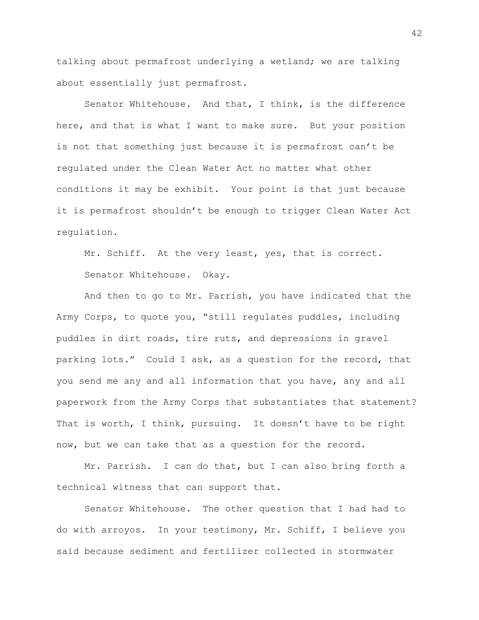talking about permafrost underlying a wetland; we are talking about essentially just permafrost.

Senator Whitehouse. And that, I think, is the difference here, and that is what I want to make sure. But your position is not that something just because it is permafrost can't be regulated under the Clean Water Act no matter what other conditions it may be exhibit. Your point is that just because it is permafrost shouldn't be enough to trigger Clean Water Act regulation.

Mr. Schiff. At the very least, yes, that is correct. Senator Whitehouse. Okay.

And then to go to Mr. Parrish, you have indicated that the Army Corps, to quote you, "still regulates puddles, including puddles in dirt roads, tire ruts, and depressions in gravel parking lots." Could I ask, as a question for the record, that you send me any and all information that you have, any and all paperwork from the Army Corps that substantiates that statement? That is worth, I think, pursuing. It doesn't have to be right now, but we can take that as a question for the record.

Mr. Parrish. I can do that, but I can also bring forth a technical witness that can support that.

Senator Whitehouse. The other question that I had had to do with arroyos. In your testimony, Mr. Schiff, I believe you said because sediment and fertilizer collected in stormwater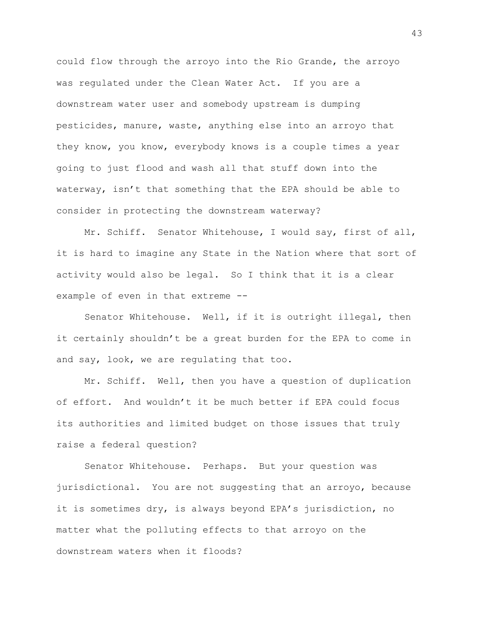could flow through the arroyo into the Rio Grande, the arroyo was regulated under the Clean Water Act. If you are a downstream water user and somebody upstream is dumping pesticides, manure, waste, anything else into an arroyo that they know, you know, everybody knows is a couple times a year going to just flood and wash all that stuff down into the waterway, isn't that something that the EPA should be able to consider in protecting the downstream waterway?

Mr. Schiff. Senator Whitehouse, I would say, first of all, it is hard to imagine any State in the Nation where that sort of activity would also be legal. So I think that it is a clear example of even in that extreme --

Senator Whitehouse. Well, if it is outright illegal, then it certainly shouldn't be a great burden for the EPA to come in and say, look, we are regulating that too.

Mr. Schiff. Well, then you have a question of duplication of effort. And wouldn't it be much better if EPA could focus its authorities and limited budget on those issues that truly raise a federal question?

Senator Whitehouse. Perhaps. But your question was jurisdictional. You are not suggesting that an arroyo, because it is sometimes dry, is always beyond EPA's jurisdiction, no matter what the polluting effects to that arroyo on the downstream waters when it floods?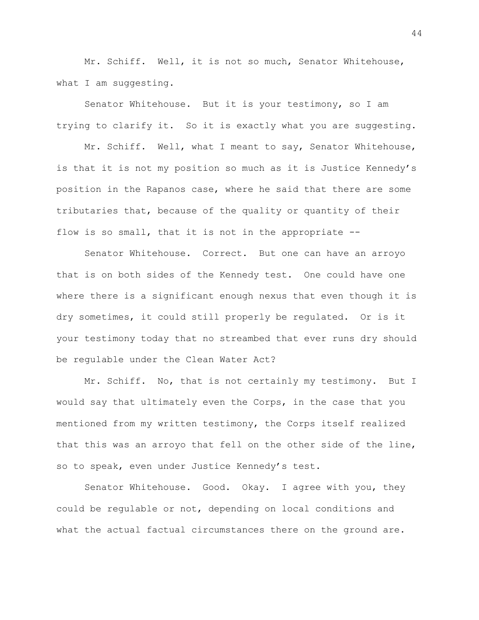Mr. Schiff. Well, it is not so much, Senator Whitehouse, what I am suggesting.

Senator Whitehouse. But it is your testimony, so I am trying to clarify it. So it is exactly what you are suggesting.

Mr. Schiff. Well, what I meant to say, Senator Whitehouse, is that it is not my position so much as it is Justice Kennedy's position in the Rapanos case, where he said that there are some tributaries that, because of the quality or quantity of their flow is so small, that it is not in the appropriate --

Senator Whitehouse. Correct. But one can have an arroyo that is on both sides of the Kennedy test. One could have one where there is a significant enough nexus that even though it is dry sometimes, it could still properly be regulated. Or is it your testimony today that no streambed that ever runs dry should be regulable under the Clean Water Act?

Mr. Schiff. No, that is not certainly my testimony. But I would say that ultimately even the Corps, in the case that you mentioned from my written testimony, the Corps itself realized that this was an arroyo that fell on the other side of the line, so to speak, even under Justice Kennedy's test.

Senator Whitehouse. Good. Okay. I agree with you, they could be regulable or not, depending on local conditions and what the actual factual circumstances there on the ground are.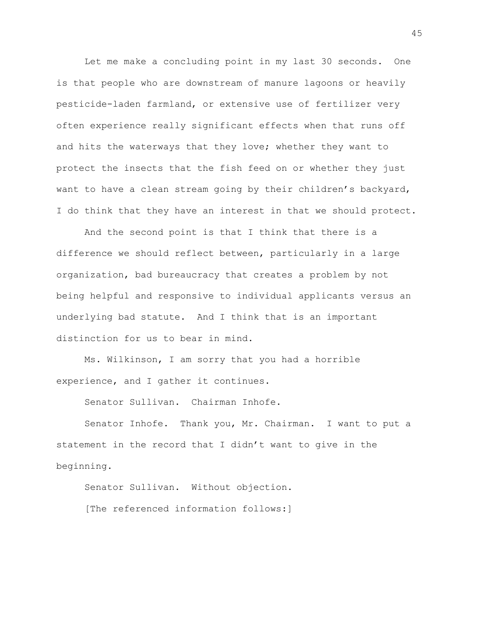Let me make a concluding point in my last 30 seconds. One is that people who are downstream of manure lagoons or heavily pesticide-laden farmland, or extensive use of fertilizer very often experience really significant effects when that runs off and hits the waterways that they love; whether they want to protect the insects that the fish feed on or whether they just want to have a clean stream going by their children's backyard, I do think that they have an interest in that we should protect.

And the second point is that I think that there is a difference we should reflect between, particularly in a large organization, bad bureaucracy that creates a problem by not being helpful and responsive to individual applicants versus an underlying bad statute. And I think that is an important distinction for us to bear in mind.

Ms. Wilkinson, I am sorry that you had a horrible experience, and I gather it continues.

Senator Sullivan. Chairman Inhofe.

Senator Inhofe. Thank you, Mr. Chairman. I want to put a statement in the record that I didn't want to give in the beginning.

Senator Sullivan. Without objection. [The referenced information follows:]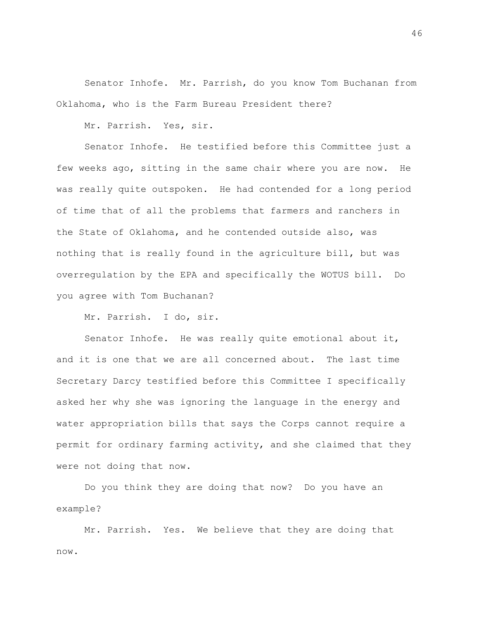Senator Inhofe. Mr. Parrish, do you know Tom Buchanan from Oklahoma, who is the Farm Bureau President there?

Mr. Parrish. Yes, sir.

Senator Inhofe. He testified before this Committee just a few weeks ago, sitting in the same chair where you are now. He was really quite outspoken. He had contended for a long period of time that of all the problems that farmers and ranchers in the State of Oklahoma, and he contended outside also, was nothing that is really found in the agriculture bill, but was overregulation by the EPA and specifically the WOTUS bill. Do you agree with Tom Buchanan?

Mr. Parrish. I do, sir.

Senator Inhofe. He was really quite emotional about it, and it is one that we are all concerned about. The last time Secretary Darcy testified before this Committee I specifically asked her why she was ignoring the language in the energy and water appropriation bills that says the Corps cannot require a permit for ordinary farming activity, and she claimed that they were not doing that now.

Do you think they are doing that now? Do you have an example?

Mr. Parrish. Yes. We believe that they are doing that now.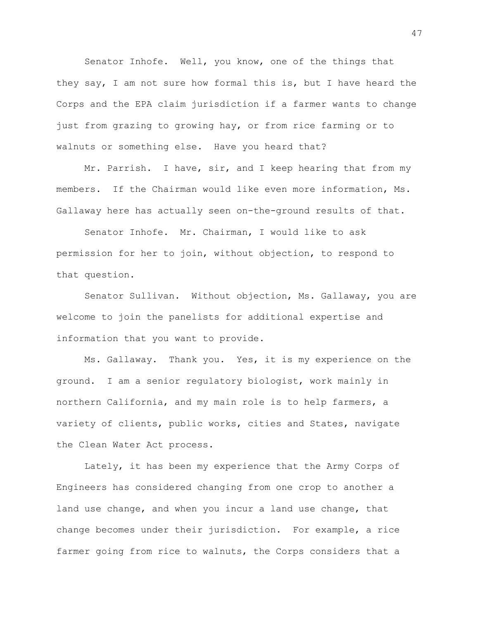Senator Inhofe. Well, you know, one of the things that they say, I am not sure how formal this is, but I have heard the Corps and the EPA claim jurisdiction if a farmer wants to change just from grazing to growing hay, or from rice farming or to walnuts or something else. Have you heard that?

Mr. Parrish. I have, sir, and I keep hearing that from my members. If the Chairman would like even more information, Ms. Gallaway here has actually seen on-the-ground results of that.

Senator Inhofe. Mr. Chairman, I would like to ask permission for her to join, without objection, to respond to that question.

Senator Sullivan. Without objection, Ms. Gallaway, you are welcome to join the panelists for additional expertise and information that you want to provide.

Ms. Gallaway. Thank you. Yes, it is my experience on the ground. I am a senior regulatory biologist, work mainly in northern California, and my main role is to help farmers, a variety of clients, public works, cities and States, navigate the Clean Water Act process.

Lately, it has been my experience that the Army Corps of Engineers has considered changing from one crop to another a land use change, and when you incur a land use change, that change becomes under their jurisdiction. For example, a rice farmer going from rice to walnuts, the Corps considers that a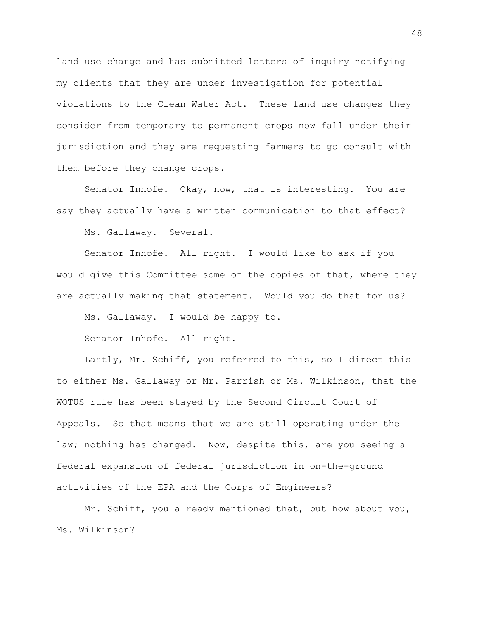land use change and has submitted letters of inquiry notifying my clients that they are under investigation for potential violations to the Clean Water Act. These land use changes they consider from temporary to permanent crops now fall under their jurisdiction and they are requesting farmers to go consult with them before they change crops.

Senator Inhofe. Okay, now, that is interesting. You are say they actually have a written communication to that effect?

Ms. Gallaway. Several.

Senator Inhofe. All right. I would like to ask if you would give this Committee some of the copies of that, where they are actually making that statement. Would you do that for us?

Ms. Gallaway. I would be happy to.

Senator Inhofe. All right.

Lastly, Mr. Schiff, you referred to this, so I direct this to either Ms. Gallaway or Mr. Parrish or Ms. Wilkinson, that the WOTUS rule has been stayed by the Second Circuit Court of Appeals. So that means that we are still operating under the law; nothing has changed. Now, despite this, are you seeing a federal expansion of federal jurisdiction in on-the-ground activities of the EPA and the Corps of Engineers?

Mr. Schiff, you already mentioned that, but how about you, Ms. Wilkinson?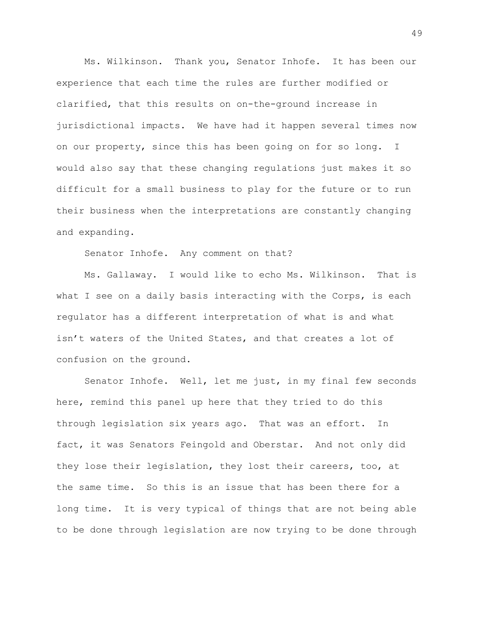Ms. Wilkinson. Thank you, Senator Inhofe. It has been our experience that each time the rules are further modified or clarified, that this results on on-the-ground increase in jurisdictional impacts. We have had it happen several times now on our property, since this has been going on for so long. I would also say that these changing regulations just makes it so difficult for a small business to play for the future or to run their business when the interpretations are constantly changing and expanding.

Senator Inhofe. Any comment on that?

Ms. Gallaway. I would like to echo Ms. Wilkinson. That is what I see on a daily basis interacting with the Corps, is each regulator has a different interpretation of what is and what isn't waters of the United States, and that creates a lot of confusion on the ground.

Senator Inhofe. Well, let me just, in my final few seconds here, remind this panel up here that they tried to do this through legislation six years ago. That was an effort. In fact, it was Senators Feingold and Oberstar. And not only did they lose their legislation, they lost their careers, too, at the same time. So this is an issue that has been there for a long time. It is very typical of things that are not being able to be done through legislation are now trying to be done through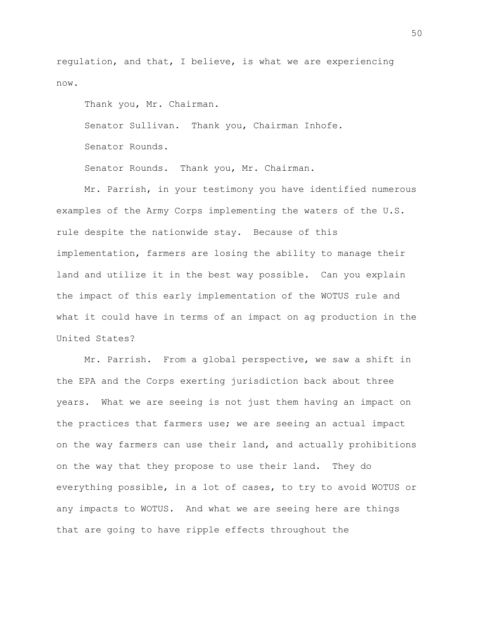regulation, and that, I believe, is what we are experiencing now.

Thank you, Mr. Chairman.

Senator Sullivan. Thank you, Chairman Inhofe.

Senator Rounds.

Senator Rounds. Thank you, Mr. Chairman.

Mr. Parrish, in your testimony you have identified numerous examples of the Army Corps implementing the waters of the U.S. rule despite the nationwide stay. Because of this implementation, farmers are losing the ability to manage their land and utilize it in the best way possible. Can you explain the impact of this early implementation of the WOTUS rule and what it could have in terms of an impact on ag production in the United States?

Mr. Parrish. From a global perspective, we saw a shift in the EPA and the Corps exerting jurisdiction back about three years. What we are seeing is not just them having an impact on the practices that farmers use; we are seeing an actual impact on the way farmers can use their land, and actually prohibitions on the way that they propose to use their land. They do everything possible, in a lot of cases, to try to avoid WOTUS or any impacts to WOTUS. And what we are seeing here are things that are going to have ripple effects throughout the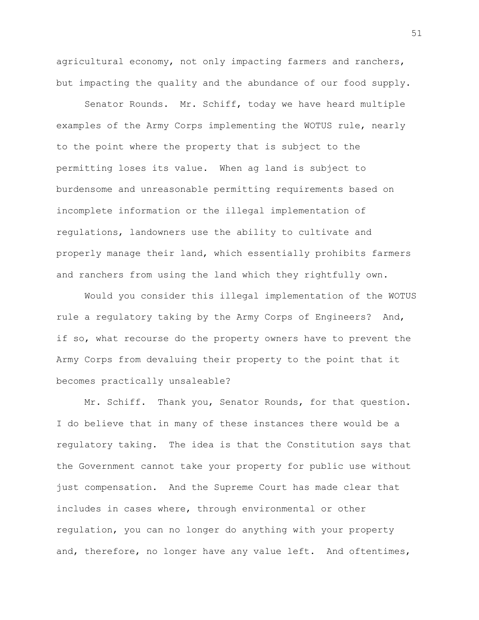agricultural economy, not only impacting farmers and ranchers, but impacting the quality and the abundance of our food supply.

Senator Rounds. Mr. Schiff, today we have heard multiple examples of the Army Corps implementing the WOTUS rule, nearly to the point where the property that is subject to the permitting loses its value. When ag land is subject to burdensome and unreasonable permitting requirements based on incomplete information or the illegal implementation of regulations, landowners use the ability to cultivate and properly manage their land, which essentially prohibits farmers and ranchers from using the land which they rightfully own.

Would you consider this illegal implementation of the WOTUS rule a regulatory taking by the Army Corps of Engineers? And, if so, what recourse do the property owners have to prevent the Army Corps from devaluing their property to the point that it becomes practically unsaleable?

Mr. Schiff. Thank you, Senator Rounds, for that question. I do believe that in many of these instances there would be a regulatory taking. The idea is that the Constitution says that the Government cannot take your property for public use without just compensation. And the Supreme Court has made clear that includes in cases where, through environmental or other regulation, you can no longer do anything with your property and, therefore, no longer have any value left. And oftentimes,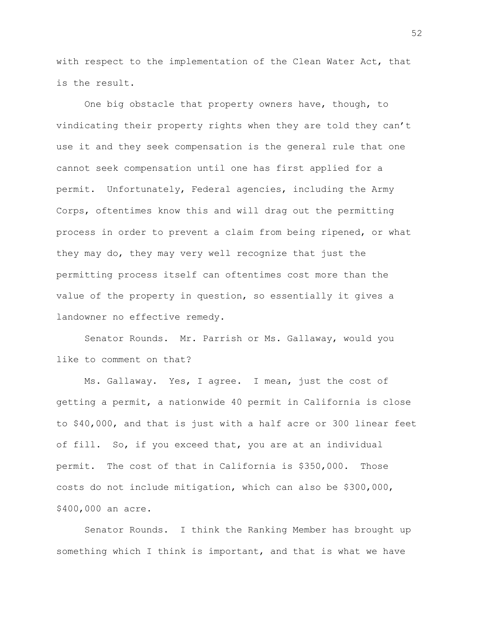with respect to the implementation of the Clean Water Act, that is the result.

One big obstacle that property owners have, though, to vindicating their property rights when they are told they can't use it and they seek compensation is the general rule that one cannot seek compensation until one has first applied for a permit. Unfortunately, Federal agencies, including the Army Corps, oftentimes know this and will drag out the permitting process in order to prevent a claim from being ripened, or what they may do, they may very well recognize that just the permitting process itself can oftentimes cost more than the value of the property in question, so essentially it gives a landowner no effective remedy.

Senator Rounds. Mr. Parrish or Ms. Gallaway, would you like to comment on that?

Ms. Gallaway. Yes, I agree. I mean, just the cost of getting a permit, a nationwide 40 permit in California is close to \$40,000, and that is just with a half acre or 300 linear feet of fill. So, if you exceed that, you are at an individual permit. The cost of that in California is \$350,000. Those costs do not include mitigation, which can also be \$300,000, \$400,000 an acre.

Senator Rounds. I think the Ranking Member has brought up something which I think is important, and that is what we have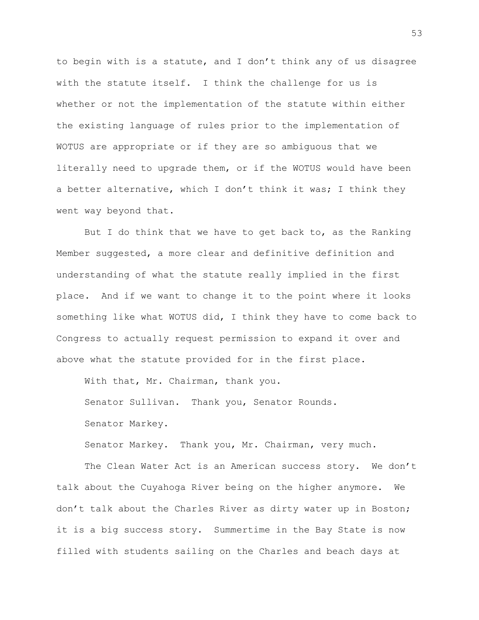to begin with is a statute, and I don't think any of us disagree with the statute itself. I think the challenge for us is whether or not the implementation of the statute within either the existing language of rules prior to the implementation of WOTUS are appropriate or if they are so ambiguous that we literally need to upgrade them, or if the WOTUS would have been a better alternative, which I don't think it was; I think they went way beyond that.

But I do think that we have to get back to, as the Ranking Member suggested, a more clear and definitive definition and understanding of what the statute really implied in the first place. And if we want to change it to the point where it looks something like what WOTUS did, I think they have to come back to Congress to actually request permission to expand it over and above what the statute provided for in the first place.

With that, Mr. Chairman, thank you. Senator Sullivan. Thank you, Senator Rounds. Senator Markey.

Senator Markey. Thank you, Mr. Chairman, very much.

The Clean Water Act is an American success story. We don't talk about the Cuyahoga River being on the higher anymore. We don't talk about the Charles River as dirty water up in Boston; it is a big success story. Summertime in the Bay State is now filled with students sailing on the Charles and beach days at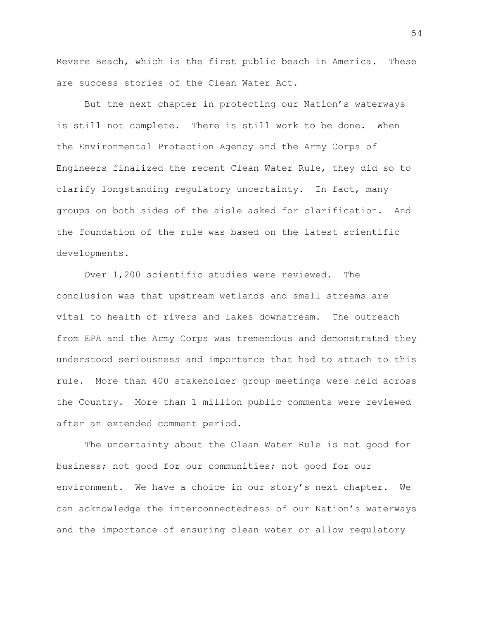Revere Beach, which is the first public beach in America. These are success stories of the Clean Water Act.

But the next chapter in protecting our Nation's waterways is still not complete. There is still work to be done. When the Environmental Protection Agency and the Army Corps of Engineers finalized the recent Clean Water Rule, they did so to clarify longstanding regulatory uncertainty. In fact, many groups on both sides of the aisle asked for clarification. And the foundation of the rule was based on the latest scientific developments.

Over 1,200 scientific studies were reviewed. The conclusion was that upstream wetlands and small streams are vital to health of rivers and lakes downstream. The outreach from EPA and the Army Corps was tremendous and demonstrated they understood seriousness and importance that had to attach to this rule. More than 400 stakeholder group meetings were held across the Country. More than 1 million public comments were reviewed after an extended comment period.

The uncertainty about the Clean Water Rule is not good for business; not good for our communities; not good for our environment. We have a choice in our story's next chapter. We can acknowledge the interconnectedness of our Nation's waterways and the importance of ensuring clean water or allow regulatory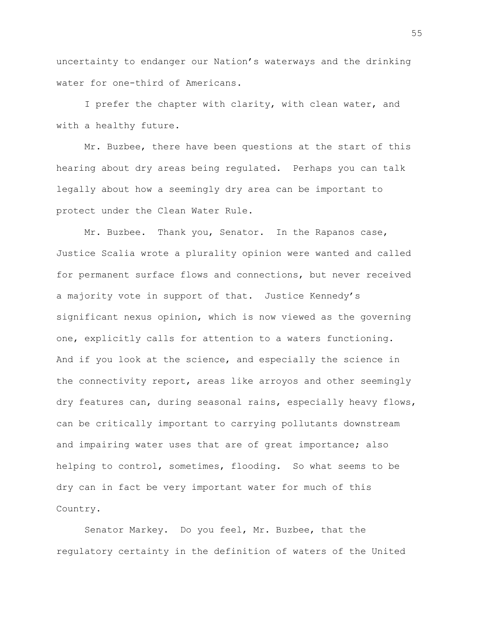uncertainty to endanger our Nation's waterways and the drinking water for one-third of Americans.

I prefer the chapter with clarity, with clean water, and with a healthy future.

Mr. Buzbee, there have been questions at the start of this hearing about dry areas being regulated. Perhaps you can talk legally about how a seemingly dry area can be important to protect under the Clean Water Rule.

Mr. Buzbee. Thank you, Senator. In the Rapanos case, Justice Scalia wrote a plurality opinion were wanted and called for permanent surface flows and connections, but never received a majority vote in support of that. Justice Kennedy's significant nexus opinion, which is now viewed as the governing one, explicitly calls for attention to a waters functioning. And if you look at the science, and especially the science in the connectivity report, areas like arroyos and other seemingly dry features can, during seasonal rains, especially heavy flows, can be critically important to carrying pollutants downstream and impairing water uses that are of great importance; also helping to control, sometimes, flooding. So what seems to be dry can in fact be very important water for much of this Country.

Senator Markey. Do you feel, Mr. Buzbee, that the regulatory certainty in the definition of waters of the United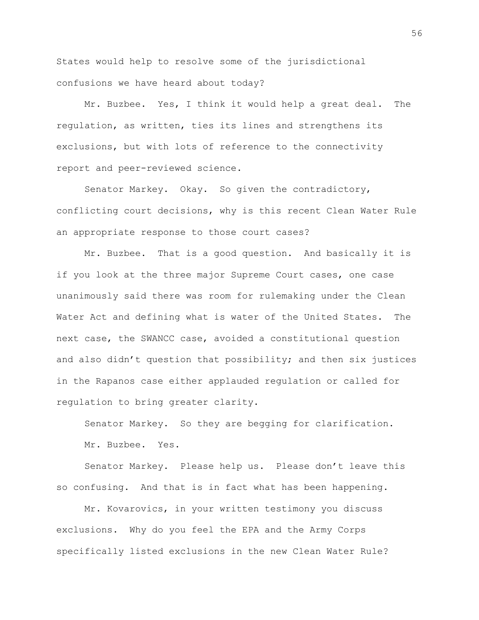States would help to resolve some of the jurisdictional confusions we have heard about today?

Mr. Buzbee. Yes, I think it would help a great deal. The regulation, as written, ties its lines and strengthens its exclusions, but with lots of reference to the connectivity report and peer-reviewed science.

Senator Markey. Okay. So given the contradictory, conflicting court decisions, why is this recent Clean Water Rule an appropriate response to those court cases?

Mr. Buzbee. That is a good question. And basically it is if you look at the three major Supreme Court cases, one case unanimously said there was room for rulemaking under the Clean Water Act and defining what is water of the United States. The next case, the SWANCC case, avoided a constitutional question and also didn't question that possibility; and then six justices in the Rapanos case either applauded regulation or called for regulation to bring greater clarity.

Senator Markey. So they are begging for clarification. Mr. Buzbee. Yes.

Senator Markey. Please help us. Please don't leave this so confusing. And that is in fact what has been happening.

Mr. Kovarovics, in your written testimony you discuss exclusions. Why do you feel the EPA and the Army Corps specifically listed exclusions in the new Clean Water Rule?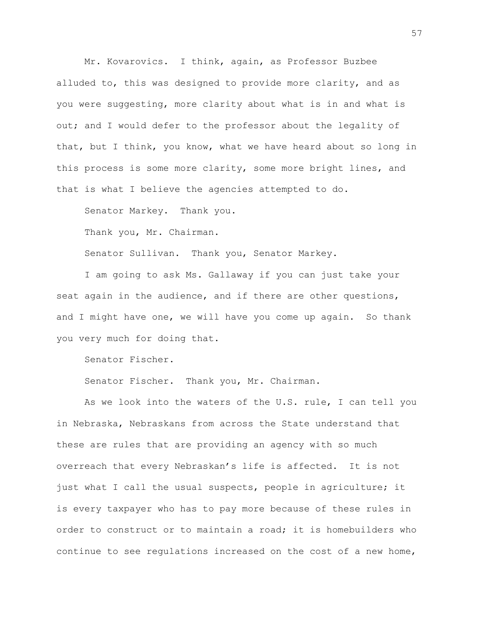Mr. Kovarovics. I think, again, as Professor Buzbee alluded to, this was designed to provide more clarity, and as you were suggesting, more clarity about what is in and what is out; and I would defer to the professor about the legality of that, but I think, you know, what we have heard about so long in this process is some more clarity, some more bright lines, and that is what I believe the agencies attempted to do.

Senator Markey. Thank you.

Thank you, Mr. Chairman.

Senator Sullivan. Thank you, Senator Markey.

I am going to ask Ms. Gallaway if you can just take your seat again in the audience, and if there are other questions, and I might have one, we will have you come up again. So thank you very much for doing that.

Senator Fischer.

Senator Fischer. Thank you, Mr. Chairman.

As we look into the waters of the U.S. rule, I can tell you in Nebraska, Nebraskans from across the State understand that these are rules that are providing an agency with so much overreach that every Nebraskan's life is affected. It is not just what I call the usual suspects, people in agriculture; it is every taxpayer who has to pay more because of these rules in order to construct or to maintain a road; it is homebuilders who continue to see regulations increased on the cost of a new home,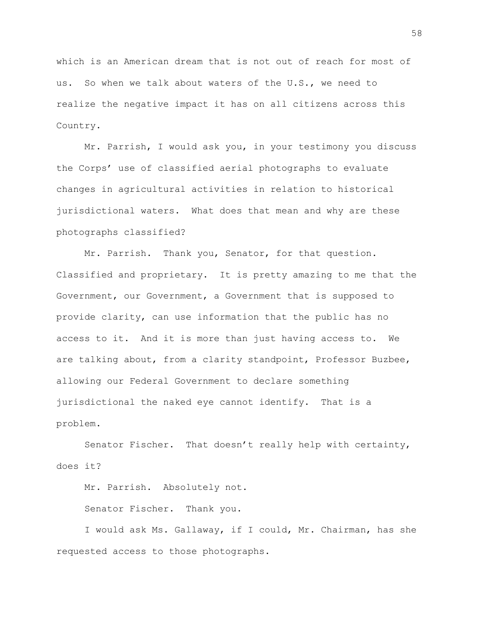which is an American dream that is not out of reach for most of us. So when we talk about waters of the U.S., we need to realize the negative impact it has on all citizens across this Country.

Mr. Parrish, I would ask you, in your testimony you discuss the Corps' use of classified aerial photographs to evaluate changes in agricultural activities in relation to historical jurisdictional waters. What does that mean and why are these photographs classified?

Mr. Parrish. Thank you, Senator, for that question. Classified and proprietary. It is pretty amazing to me that the Government, our Government, a Government that is supposed to provide clarity, can use information that the public has no access to it. And it is more than just having access to. We are talking about, from a clarity standpoint, Professor Buzbee, allowing our Federal Government to declare something jurisdictional the naked eye cannot identify. That is a problem.

Senator Fischer. That doesn't really help with certainty, does it?

Mr. Parrish. Absolutely not.

Senator Fischer. Thank you.

I would ask Ms. Gallaway, if I could, Mr. Chairman, has she requested access to those photographs.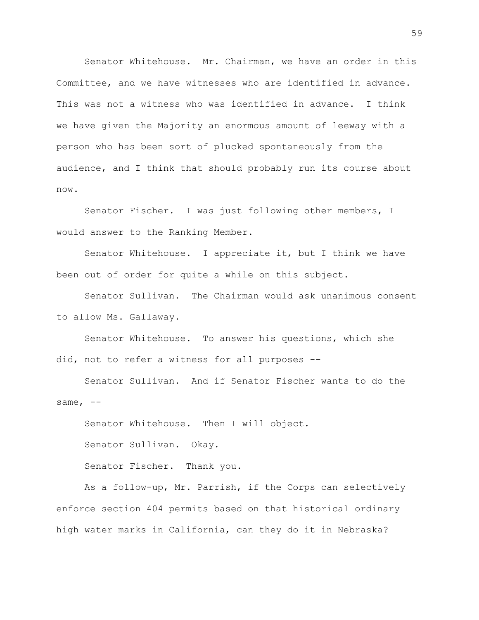Senator Whitehouse. Mr. Chairman, we have an order in this Committee, and we have witnesses who are identified in advance. This was not a witness who was identified in advance. I think we have given the Majority an enormous amount of leeway with a person who has been sort of plucked spontaneously from the audience, and I think that should probably run its course about now.

Senator Fischer. I was just following other members, I would answer to the Ranking Member.

Senator Whitehouse. I appreciate it, but I think we have been out of order for quite a while on this subject.

Senator Sullivan. The Chairman would ask unanimous consent to allow Ms. Gallaway.

Senator Whitehouse. To answer his questions, which she did, not to refer a witness for all purposes --

Senator Sullivan. And if Senator Fischer wants to do the same,  $--$ 

Senator Whitehouse. Then I will object. Senator Sullivan. Okay.

Senator Fischer. Thank you.

As a follow-up, Mr. Parrish, if the Corps can selectively enforce section 404 permits based on that historical ordinary high water marks in California, can they do it in Nebraska?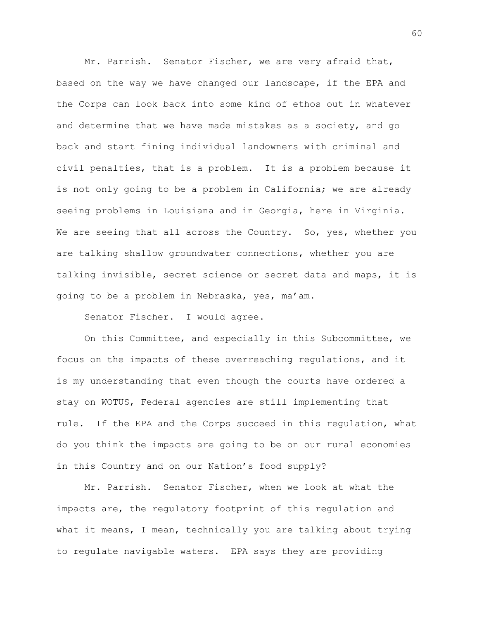Mr. Parrish. Senator Fischer, we are very afraid that, based on the way we have changed our landscape, if the EPA and the Corps can look back into some kind of ethos out in whatever and determine that we have made mistakes as a society, and go back and start fining individual landowners with criminal and civil penalties, that is a problem. It is a problem because it is not only going to be a problem in California; we are already seeing problems in Louisiana and in Georgia, here in Virginia. We are seeing that all across the Country. So, yes, whether you are talking shallow groundwater connections, whether you are talking invisible, secret science or secret data and maps, it is going to be a problem in Nebraska, yes, ma'am.

Senator Fischer. I would agree.

On this Committee, and especially in this Subcommittee, we focus on the impacts of these overreaching regulations, and it is my understanding that even though the courts have ordered a stay on WOTUS, Federal agencies are still implementing that rule. If the EPA and the Corps succeed in this regulation, what do you think the impacts are going to be on our rural economies in this Country and on our Nation's food supply?

Mr. Parrish. Senator Fischer, when we look at what the impacts are, the regulatory footprint of this regulation and what it means, I mean, technically you are talking about trying to regulate navigable waters. EPA says they are providing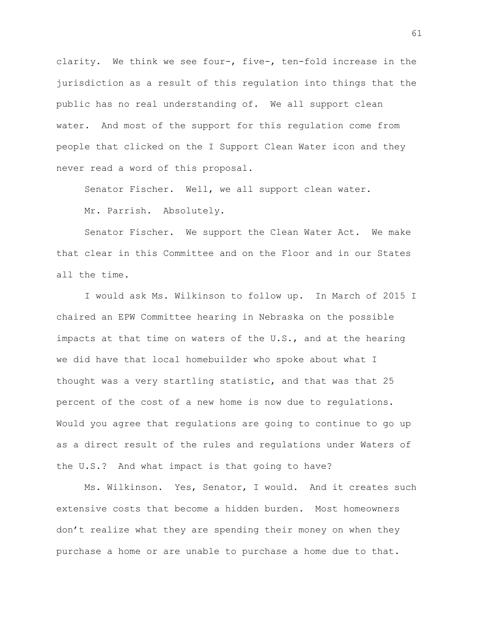clarity. We think we see four-, five-, ten-fold increase in the jurisdiction as a result of this regulation into things that the public has no real understanding of. We all support clean water. And most of the support for this regulation come from people that clicked on the I Support Clean Water icon and they never read a word of this proposal.

Senator Fischer. Well, we all support clean water.

Mr. Parrish. Absolutely.

Senator Fischer. We support the Clean Water Act. We make that clear in this Committee and on the Floor and in our States all the time.

I would ask Ms. Wilkinson to follow up. In March of 2015 I chaired an EPW Committee hearing in Nebraska on the possible impacts at that time on waters of the U.S., and at the hearing we did have that local homebuilder who spoke about what I thought was a very startling statistic, and that was that 25 percent of the cost of a new home is now due to regulations. Would you agree that regulations are going to continue to go up as a direct result of the rules and regulations under Waters of the U.S.? And what impact is that going to have?

Ms. Wilkinson. Yes, Senator, I would. And it creates such extensive costs that become a hidden burden. Most homeowners don't realize what they are spending their money on when they purchase a home or are unable to purchase a home due to that.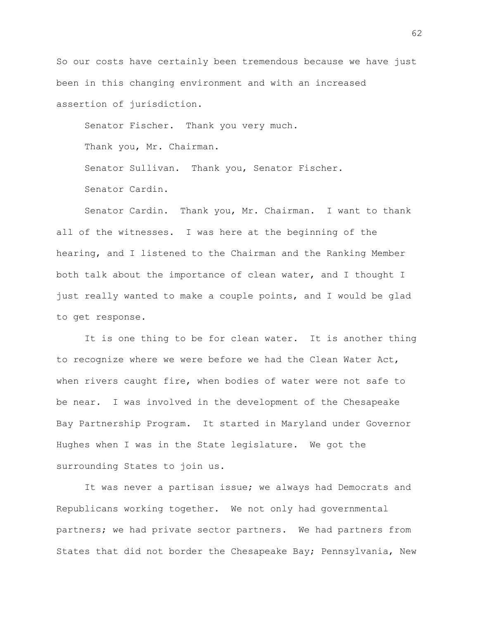So our costs have certainly been tremendous because we have just been in this changing environment and with an increased assertion of jurisdiction.

Senator Fischer. Thank you very much.

Thank you, Mr. Chairman.

Senator Sullivan. Thank you, Senator Fischer.

Senator Cardin.

Senator Cardin. Thank you, Mr. Chairman. I want to thank all of the witnesses. I was here at the beginning of the hearing, and I listened to the Chairman and the Ranking Member both talk about the importance of clean water, and I thought I just really wanted to make a couple points, and I would be glad to get response.

It is one thing to be for clean water. It is another thing to recognize where we were before we had the Clean Water Act, when rivers caught fire, when bodies of water were not safe to be near. I was involved in the development of the Chesapeake Bay Partnership Program. It started in Maryland under Governor Hughes when I was in the State legislature. We got the surrounding States to join us.

It was never a partisan issue; we always had Democrats and Republicans working together. We not only had governmental partners; we had private sector partners. We had partners from States that did not border the Chesapeake Bay; Pennsylvania, New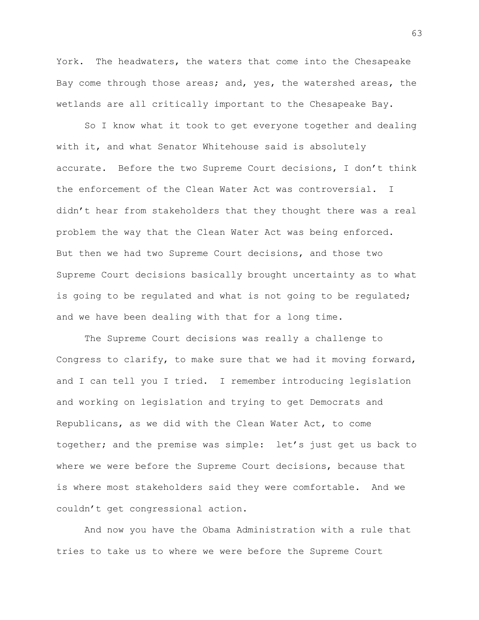York. The headwaters, the waters that come into the Chesapeake Bay come through those areas; and, yes, the watershed areas, the wetlands are all critically important to the Chesapeake Bay.

So I know what it took to get everyone together and dealing with it, and what Senator Whitehouse said is absolutely accurate. Before the two Supreme Court decisions, I don't think the enforcement of the Clean Water Act was controversial. I didn't hear from stakeholders that they thought there was a real problem the way that the Clean Water Act was being enforced. But then we had two Supreme Court decisions, and those two Supreme Court decisions basically brought uncertainty as to what is going to be regulated and what is not going to be regulated; and we have been dealing with that for a long time.

The Supreme Court decisions was really a challenge to Congress to clarify, to make sure that we had it moving forward, and I can tell you I tried. I remember introducing legislation and working on legislation and trying to get Democrats and Republicans, as we did with the Clean Water Act, to come together; and the premise was simple: let's just get us back to where we were before the Supreme Court decisions, because that is where most stakeholders said they were comfortable. And we couldn't get congressional action.

And now you have the Obama Administration with a rule that tries to take us to where we were before the Supreme Court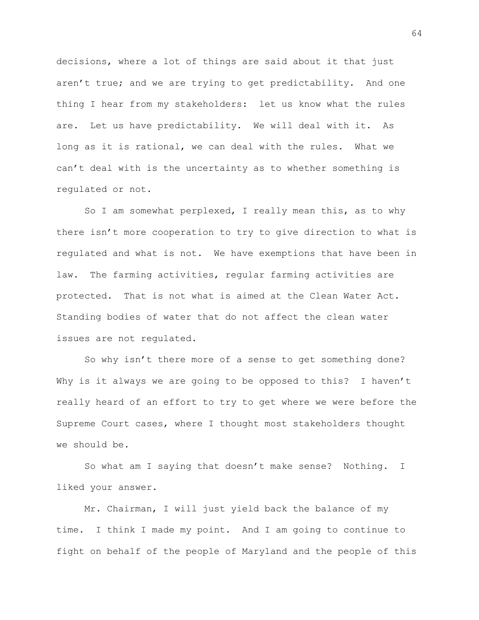decisions, where a lot of things are said about it that just aren't true; and we are trying to get predictability. And one thing I hear from my stakeholders: let us know what the rules are. Let us have predictability. We will deal with it. As long as it is rational, we can deal with the rules. What we can't deal with is the uncertainty as to whether something is regulated or not.

So I am somewhat perplexed, I really mean this, as to why there isn't more cooperation to try to give direction to what is regulated and what is not. We have exemptions that have been in law. The farming activities, regular farming activities are protected. That is not what is aimed at the Clean Water Act. Standing bodies of water that do not affect the clean water issues are not regulated.

So why isn't there more of a sense to get something done? Why is it always we are going to be opposed to this? I haven't really heard of an effort to try to get where we were before the Supreme Court cases, where I thought most stakeholders thought we should be.

So what am I saying that doesn't make sense? Nothing. I liked your answer.

Mr. Chairman, I will just yield back the balance of my time. I think I made my point. And I am going to continue to fight on behalf of the people of Maryland and the people of this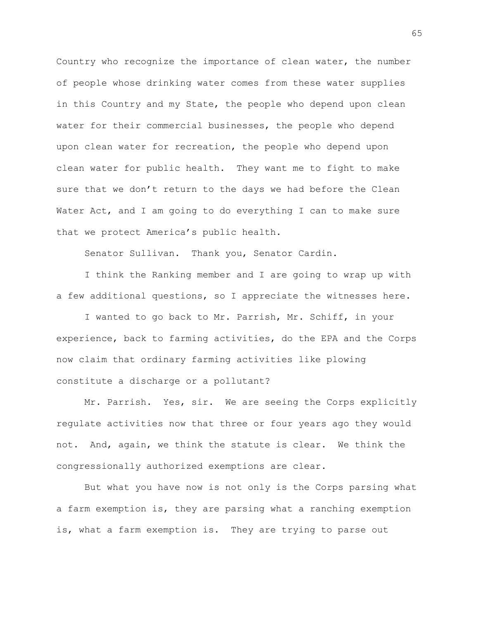Country who recognize the importance of clean water, the number of people whose drinking water comes from these water supplies in this Country and my State, the people who depend upon clean water for their commercial businesses, the people who depend upon clean water for recreation, the people who depend upon clean water for public health. They want me to fight to make sure that we don't return to the days we had before the Clean Water Act, and I am going to do everything I can to make sure that we protect America's public health.

Senator Sullivan. Thank you, Senator Cardin.

I think the Ranking member and I are going to wrap up with a few additional questions, so I appreciate the witnesses here.

I wanted to go back to Mr. Parrish, Mr. Schiff, in your experience, back to farming activities, do the EPA and the Corps now claim that ordinary farming activities like plowing constitute a discharge or a pollutant?

Mr. Parrish. Yes, sir. We are seeing the Corps explicitly regulate activities now that three or four years ago they would not. And, again, we think the statute is clear. We think the congressionally authorized exemptions are clear.

But what you have now is not only is the Corps parsing what a farm exemption is, they are parsing what a ranching exemption is, what a farm exemption is. They are trying to parse out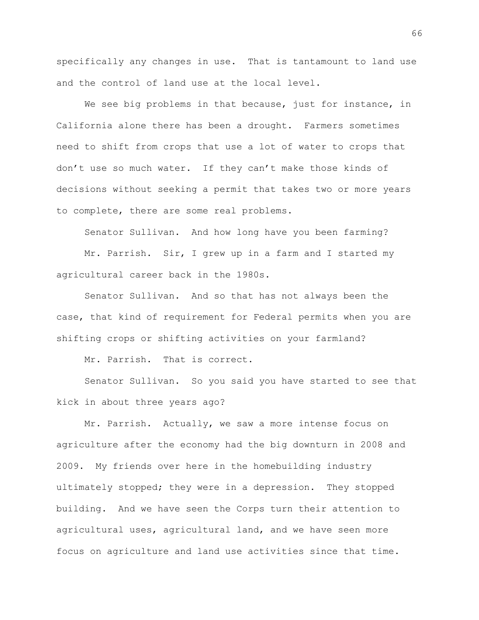specifically any changes in use. That is tantamount to land use and the control of land use at the local level.

We see big problems in that because, just for instance, in California alone there has been a drought. Farmers sometimes need to shift from crops that use a lot of water to crops that don't use so much water. If they can't make those kinds of decisions without seeking a permit that takes two or more years to complete, there are some real problems.

Senator Sullivan. And how long have you been farming?

Mr. Parrish. Sir, I grew up in a farm and I started my agricultural career back in the 1980s.

Senator Sullivan. And so that has not always been the case, that kind of requirement for Federal permits when you are shifting crops or shifting activities on your farmland?

Mr. Parrish. That is correct.

Senator Sullivan. So you said you have started to see that kick in about three years ago?

Mr. Parrish. Actually, we saw a more intense focus on agriculture after the economy had the big downturn in 2008 and 2009. My friends over here in the homebuilding industry ultimately stopped; they were in a depression. They stopped building. And we have seen the Corps turn their attention to agricultural uses, agricultural land, and we have seen more focus on agriculture and land use activities since that time.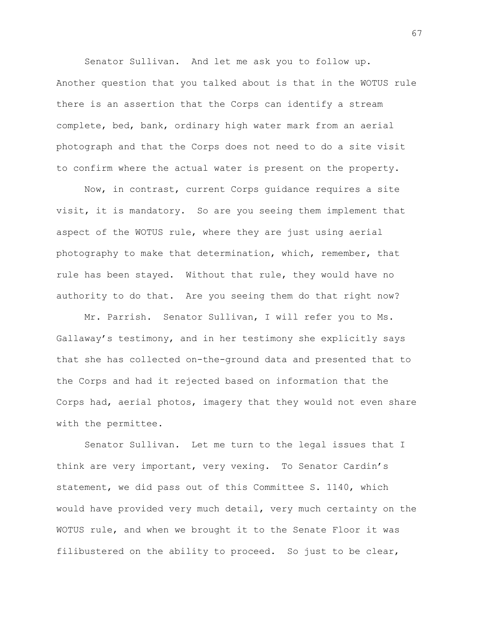Senator Sullivan. And let me ask you to follow up. Another question that you talked about is that in the WOTUS rule there is an assertion that the Corps can identify a stream complete, bed, bank, ordinary high water mark from an aerial photograph and that the Corps does not need to do a site visit to confirm where the actual water is present on the property.

Now, in contrast, current Corps guidance requires a site visit, it is mandatory. So are you seeing them implement that aspect of the WOTUS rule, where they are just using aerial photography to make that determination, which, remember, that rule has been stayed. Without that rule, they would have no authority to do that. Are you seeing them do that right now?

Mr. Parrish. Senator Sullivan, I will refer you to Ms. Gallaway's testimony, and in her testimony she explicitly says that she has collected on-the-ground data and presented that to the Corps and had it rejected based on information that the Corps had, aerial photos, imagery that they would not even share with the permittee.

Senator Sullivan. Let me turn to the legal issues that I think are very important, very vexing. To Senator Cardin's statement, we did pass out of this Committee S. 1140, which would have provided very much detail, very much certainty on the WOTUS rule, and when we brought it to the Senate Floor it was filibustered on the ability to proceed. So just to be clear,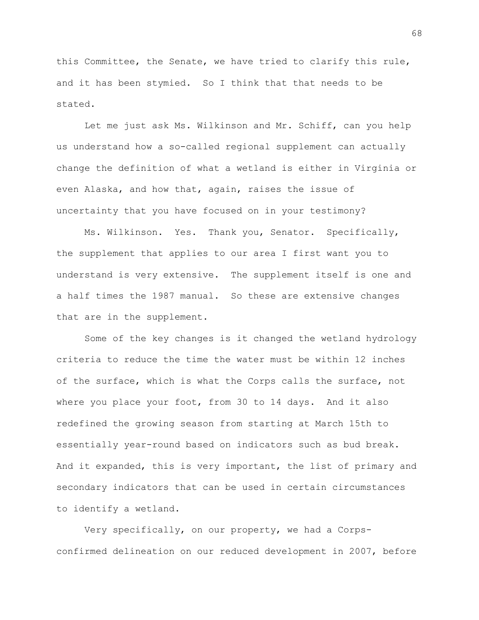this Committee, the Senate, we have tried to clarify this rule, and it has been stymied. So I think that that needs to be stated.

Let me just ask Ms. Wilkinson and Mr. Schiff, can you help us understand how a so-called regional supplement can actually change the definition of what a wetland is either in Virginia or even Alaska, and how that, again, raises the issue of uncertainty that you have focused on in your testimony?

Ms. Wilkinson. Yes. Thank you, Senator. Specifically, the supplement that applies to our area I first want you to understand is very extensive. The supplement itself is one and a half times the 1987 manual. So these are extensive changes that are in the supplement.

Some of the key changes is it changed the wetland hydrology criteria to reduce the time the water must be within 12 inches of the surface, which is what the Corps calls the surface, not where you place your foot, from 30 to 14 days. And it also redefined the growing season from starting at March 15th to essentially year-round based on indicators such as bud break. And it expanded, this is very important, the list of primary and secondary indicators that can be used in certain circumstances to identify a wetland.

Very specifically, on our property, we had a Corpsconfirmed delineation on our reduced development in 2007, before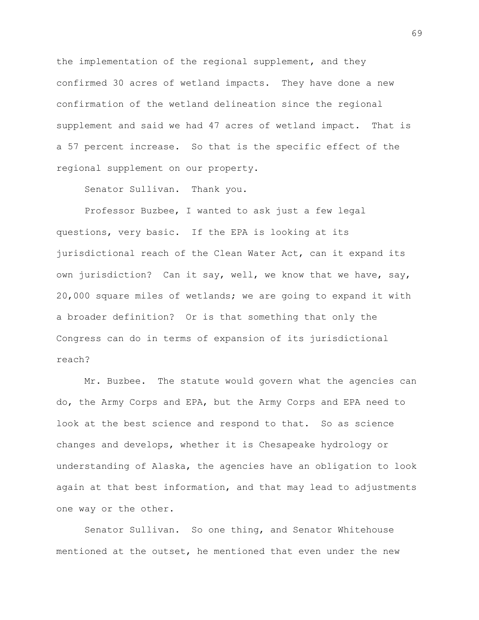the implementation of the regional supplement, and they confirmed 30 acres of wetland impacts. They have done a new confirmation of the wetland delineation since the regional supplement and said we had 47 acres of wetland impact. That is a 57 percent increase. So that is the specific effect of the regional supplement on our property.

Senator Sullivan. Thank you.

Professor Buzbee, I wanted to ask just a few legal questions, very basic. If the EPA is looking at its jurisdictional reach of the Clean Water Act, can it expand its own jurisdiction? Can it say, well, we know that we have, say, 20,000 square miles of wetlands; we are going to expand it with a broader definition? Or is that something that only the Congress can do in terms of expansion of its jurisdictional reach?

Mr. Buzbee. The statute would govern what the agencies can do, the Army Corps and EPA, but the Army Corps and EPA need to look at the best science and respond to that. So as science changes and develops, whether it is Chesapeake hydrology or understanding of Alaska, the agencies have an obligation to look again at that best information, and that may lead to adjustments one way or the other.

Senator Sullivan. So one thing, and Senator Whitehouse mentioned at the outset, he mentioned that even under the new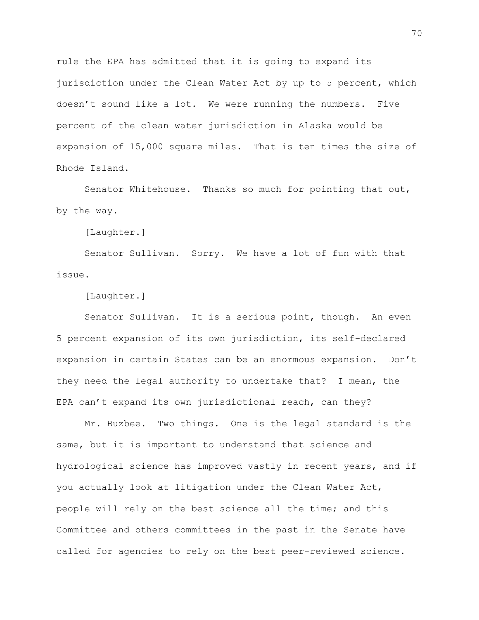rule the EPA has admitted that it is going to expand its jurisdiction under the Clean Water Act by up to 5 percent, which doesn't sound like a lot. We were running the numbers. Five percent of the clean water jurisdiction in Alaska would be expansion of 15,000 square miles. That is ten times the size of Rhode Island.

Senator Whitehouse. Thanks so much for pointing that out, by the way.

[Laughter.]

Senator Sullivan. Sorry. We have a lot of fun with that issue.

[Laughter.]

Senator Sullivan. It is a serious point, though. An even 5 percent expansion of its own jurisdiction, its self-declared expansion in certain States can be an enormous expansion. Don't they need the legal authority to undertake that? I mean, the EPA can't expand its own jurisdictional reach, can they?

Mr. Buzbee. Two things. One is the legal standard is the same, but it is important to understand that science and hydrological science has improved vastly in recent years, and if you actually look at litigation under the Clean Water Act, people will rely on the best science all the time; and this Committee and others committees in the past in the Senate have called for agencies to rely on the best peer-reviewed science.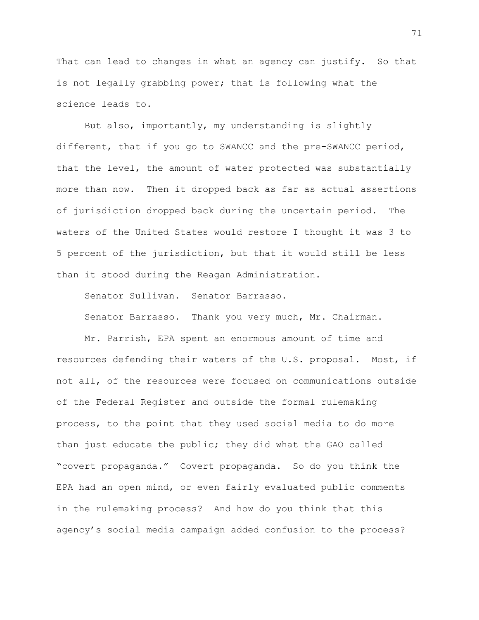That can lead to changes in what an agency can justify. So that is not legally grabbing power; that is following what the science leads to.

But also, importantly, my understanding is slightly different, that if you go to SWANCC and the pre-SWANCC period, that the level, the amount of water protected was substantially more than now. Then it dropped back as far as actual assertions of jurisdiction dropped back during the uncertain period. The waters of the United States would restore I thought it was 3 to 5 percent of the jurisdiction, but that it would still be less than it stood during the Reagan Administration.

Senator Sullivan. Senator Barrasso.

Senator Barrasso. Thank you very much, Mr. Chairman.

Mr. Parrish, EPA spent an enormous amount of time and resources defending their waters of the U.S. proposal. Most, if not all, of the resources were focused on communications outside of the Federal Register and outside the formal rulemaking process, to the point that they used social media to do more than just educate the public; they did what the GAO called "covert propaganda." Covert propaganda. So do you think the EPA had an open mind, or even fairly evaluated public comments in the rulemaking process? And how do you think that this agency's social media campaign added confusion to the process?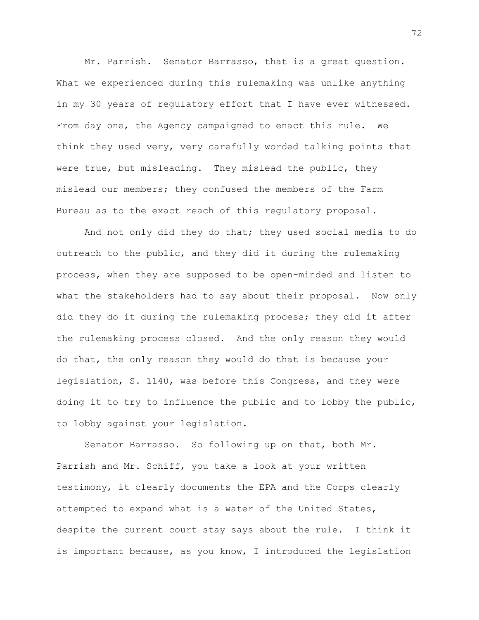Mr. Parrish. Senator Barrasso, that is a great question. What we experienced during this rulemaking was unlike anything in my 30 years of regulatory effort that I have ever witnessed. From day one, the Agency campaigned to enact this rule. We think they used very, very carefully worded talking points that were true, but misleading. They mislead the public, they mislead our members; they confused the members of the Farm Bureau as to the exact reach of this regulatory proposal.

And not only did they do that; they used social media to do outreach to the public, and they did it during the rulemaking process, when they are supposed to be open-minded and listen to what the stakeholders had to say about their proposal. Now only did they do it during the rulemaking process; they did it after the rulemaking process closed. And the only reason they would do that, the only reason they would do that is because your legislation, S. 1140, was before this Congress, and they were doing it to try to influence the public and to lobby the public, to lobby against your legislation.

Senator Barrasso. So following up on that, both Mr. Parrish and Mr. Schiff, you take a look at your written testimony, it clearly documents the EPA and the Corps clearly attempted to expand what is a water of the United States, despite the current court stay says about the rule. I think it is important because, as you know, I introduced the legislation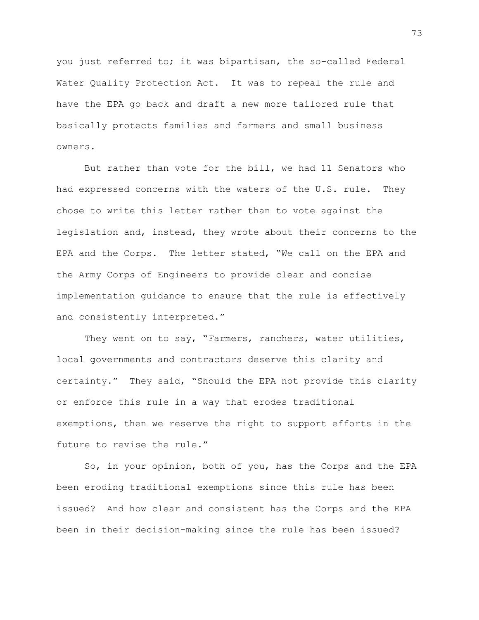you just referred to; it was bipartisan, the so-called Federal Water Quality Protection Act. It was to repeal the rule and have the EPA go back and draft a new more tailored rule that basically protects families and farmers and small business owners.

But rather than vote for the bill, we had 11 Senators who had expressed concerns with the waters of the U.S. rule. They chose to write this letter rather than to vote against the legislation and, instead, they wrote about their concerns to the EPA and the Corps. The letter stated, "We call on the EPA and the Army Corps of Engineers to provide clear and concise implementation guidance to ensure that the rule is effectively and consistently interpreted."

They went on to say, "Farmers, ranchers, water utilities, local governments and contractors deserve this clarity and certainty." They said, "Should the EPA not provide this clarity or enforce this rule in a way that erodes traditional exemptions, then we reserve the right to support efforts in the future to revise the rule."

So, in your opinion, both of you, has the Corps and the EPA been eroding traditional exemptions since this rule has been issued? And how clear and consistent has the Corps and the EPA been in their decision-making since the rule has been issued?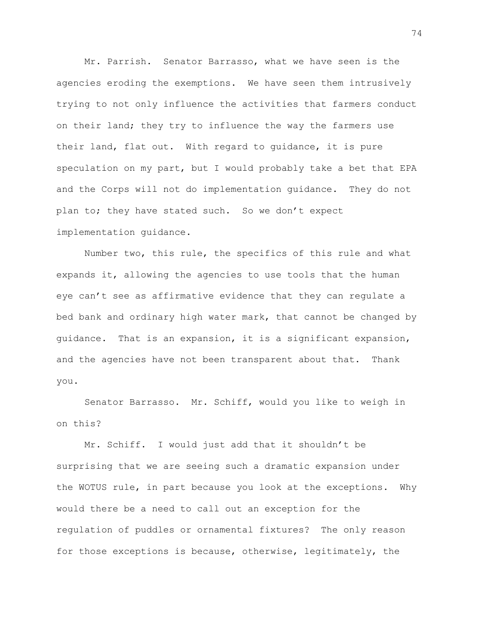Mr. Parrish. Senator Barrasso, what we have seen is the agencies eroding the exemptions. We have seen them intrusively trying to not only influence the activities that farmers conduct on their land; they try to influence the way the farmers use their land, flat out. With regard to guidance, it is pure speculation on my part, but I would probably take a bet that EPA and the Corps will not do implementation guidance. They do not plan to; they have stated such. So we don't expect implementation guidance.

Number two, this rule, the specifics of this rule and what expands it, allowing the agencies to use tools that the human eye can't see as affirmative evidence that they can regulate a bed bank and ordinary high water mark, that cannot be changed by guidance. That is an expansion, it is a significant expansion, and the agencies have not been transparent about that. Thank you.

Senator Barrasso. Mr. Schiff, would you like to weigh in on this?

Mr. Schiff. I would just add that it shouldn't be surprising that we are seeing such a dramatic expansion under the WOTUS rule, in part because you look at the exceptions. Why would there be a need to call out an exception for the regulation of puddles or ornamental fixtures? The only reason for those exceptions is because, otherwise, legitimately, the

74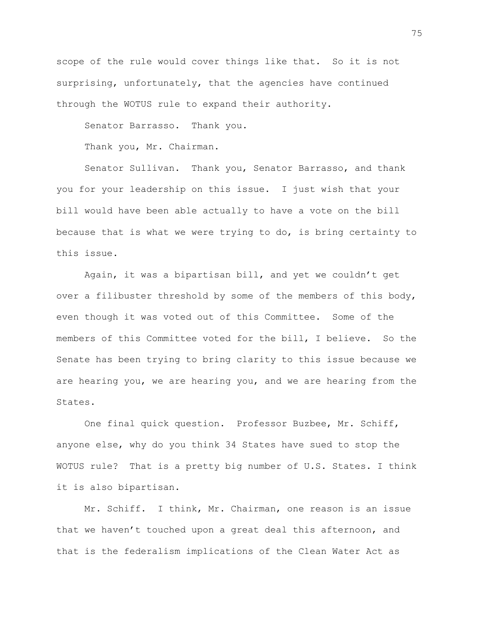scope of the rule would cover things like that. So it is not surprising, unfortunately, that the agencies have continued through the WOTUS rule to expand their authority.

Senator Barrasso. Thank you.

Thank you, Mr. Chairman.

Senator Sullivan. Thank you, Senator Barrasso, and thank you for your leadership on this issue. I just wish that your bill would have been able actually to have a vote on the bill because that is what we were trying to do, is bring certainty to this issue.

Again, it was a bipartisan bill, and yet we couldn't get over a filibuster threshold by some of the members of this body, even though it was voted out of this Committee. Some of the members of this Committee voted for the bill, I believe. So the Senate has been trying to bring clarity to this issue because we are hearing you, we are hearing you, and we are hearing from the States.

One final quick question. Professor Buzbee, Mr. Schiff, anyone else, why do you think 34 States have sued to stop the WOTUS rule? That is a pretty big number of U.S. States. I think it is also bipartisan.

Mr. Schiff. I think, Mr. Chairman, one reason is an issue that we haven't touched upon a great deal this afternoon, and that is the federalism implications of the Clean Water Act as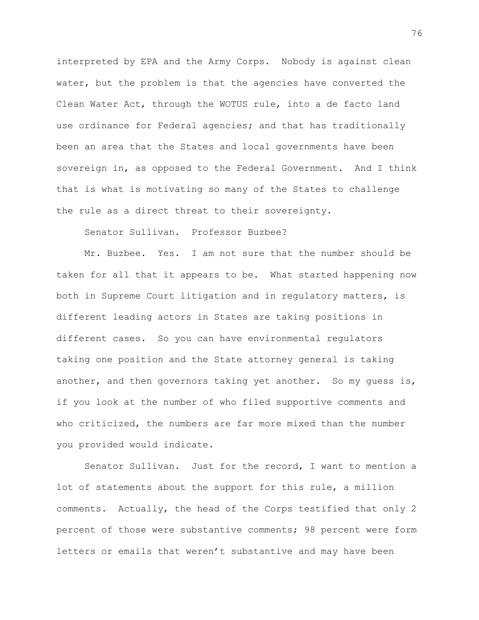interpreted by EPA and the Army Corps. Nobody is against clean water, but the problem is that the agencies have converted the Clean Water Act, through the WOTUS rule, into a de facto land use ordinance for Federal agencies; and that has traditionally been an area that the States and local governments have been sovereign in, as opposed to the Federal Government. And I think that is what is motivating so many of the States to challenge the rule as a direct threat to their sovereignty.

Senator Sullivan. Professor Buzbee?

Mr. Buzbee. Yes. I am not sure that the number should be taken for all that it appears to be. What started happening now both in Supreme Court litigation and in regulatory matters, is different leading actors in States are taking positions in different cases. So you can have environmental regulators taking one position and the State attorney general is taking another, and then governors taking yet another. So my guess is, if you look at the number of who filed supportive comments and who criticized, the numbers are far more mixed than the number you provided would indicate.

Senator Sullivan. Just for the record, I want to mention a lot of statements about the support for this rule, a million comments. Actually, the head of the Corps testified that only 2 percent of those were substantive comments; 98 percent were form letters or emails that weren't substantive and may have been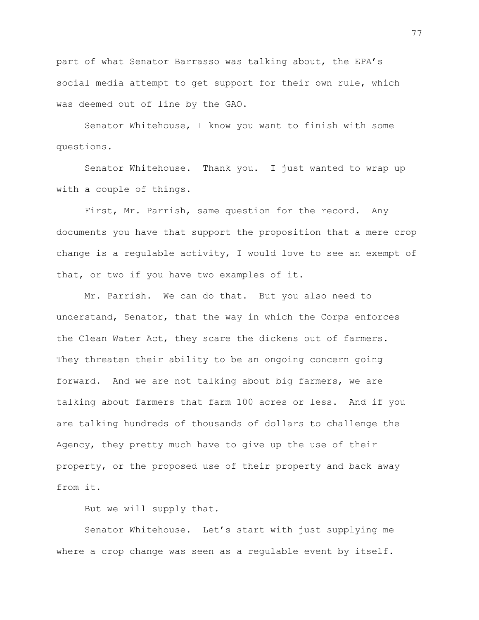part of what Senator Barrasso was talking about, the EPA's social media attempt to get support for their own rule, which was deemed out of line by the GAO.

Senator Whitehouse, I know you want to finish with some questions.

Senator Whitehouse. Thank you. I just wanted to wrap up with a couple of things.

First, Mr. Parrish, same question for the record. Any documents you have that support the proposition that a mere crop change is a regulable activity, I would love to see an exempt of that, or two if you have two examples of it.

Mr. Parrish. We can do that. But you also need to understand, Senator, that the way in which the Corps enforces the Clean Water Act, they scare the dickens out of farmers. They threaten their ability to be an ongoing concern going forward. And we are not talking about big farmers, we are talking about farmers that farm 100 acres or less. And if you are talking hundreds of thousands of dollars to challenge the Agency, they pretty much have to give up the use of their property, or the proposed use of their property and back away from it.

But we will supply that.

Senator Whitehouse. Let's start with just supplying me where a crop change was seen as a regulable event by itself.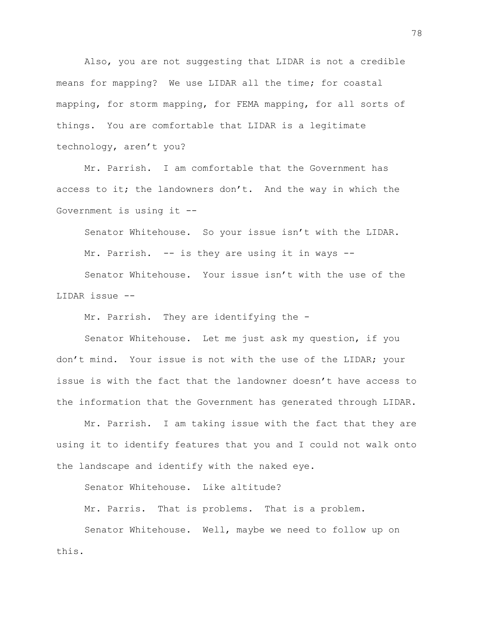Also, you are not suggesting that LIDAR is not a credible means for mapping? We use LIDAR all the time; for coastal mapping, for storm mapping, for FEMA mapping, for all sorts of things. You are comfortable that LIDAR is a legitimate technology, aren't you?

Mr. Parrish. I am comfortable that the Government has access to it; the landowners don't. And the way in which the Government is using it --

Senator Whitehouse. So your issue isn't with the LIDAR. Mr. Parrish. -- is they are using it in ways --

Senator Whitehouse. Your issue isn't with the use of the LIDAR issue --

Mr. Parrish. They are identifying the -

Senator Whitehouse. Let me just ask my question, if you don't mind. Your issue is not with the use of the LIDAR; your issue is with the fact that the landowner doesn't have access to the information that the Government has generated through LIDAR.

Mr. Parrish. I am taking issue with the fact that they are using it to identify features that you and I could not walk onto the landscape and identify with the naked eye.

Senator Whitehouse. Like altitude?

Mr. Parris. That is problems. That is a problem.

Senator Whitehouse. Well, maybe we need to follow up on this.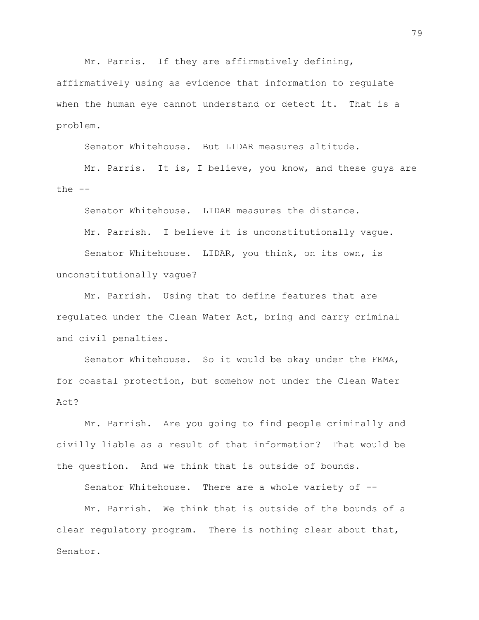Mr. Parris. If they are affirmatively defining,

affirmatively using as evidence that information to regulate when the human eye cannot understand or detect it. That is a problem.

Senator Whitehouse. But LIDAR measures altitude.

Mr. Parris. It is, I believe, you know, and these guys are the  $--$ 

Senator Whitehouse. LIDAR measures the distance.

Mr. Parrish. I believe it is unconstitutionally vague.

Senator Whitehouse. LIDAR, you think, on its own, is unconstitutionally vague?

Mr. Parrish. Using that to define features that are regulated under the Clean Water Act, bring and carry criminal and civil penalties.

Senator Whitehouse. So it would be okay under the FEMA, for coastal protection, but somehow not under the Clean Water Act?

Mr. Parrish. Are you going to find people criminally and civilly liable as a result of that information? That would be the question. And we think that is outside of bounds.

Senator Whitehouse. There are a whole variety of --

Mr. Parrish. We think that is outside of the bounds of a clear regulatory program. There is nothing clear about that, Senator.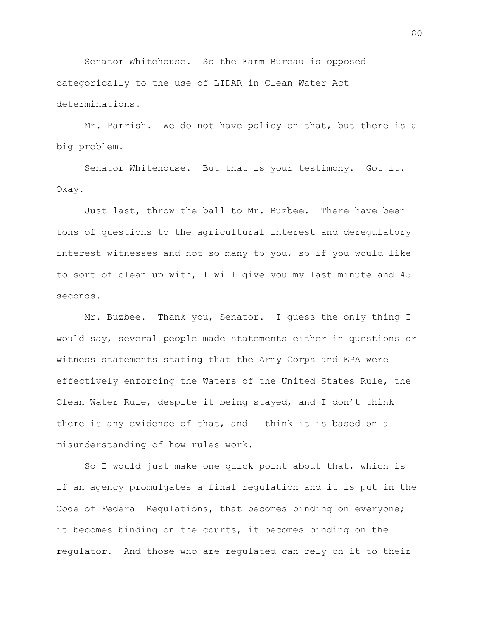Senator Whitehouse. So the Farm Bureau is opposed categorically to the use of LIDAR in Clean Water Act determinations.

Mr. Parrish. We do not have policy on that, but there is a big problem.

Senator Whitehouse. But that is your testimony. Got it. Okay.

Just last, throw the ball to Mr. Buzbee. There have been tons of questions to the agricultural interest and deregulatory interest witnesses and not so many to you, so if you would like to sort of clean up with, I will give you my last minute and 45 seconds.

Mr. Buzbee. Thank you, Senator. I guess the only thing I would say, several people made statements either in questions or witness statements stating that the Army Corps and EPA were effectively enforcing the Waters of the United States Rule, the Clean Water Rule, despite it being stayed, and I don't think there is any evidence of that, and I think it is based on a misunderstanding of how rules work.

So I would just make one quick point about that, which is if an agency promulgates a final regulation and it is put in the Code of Federal Regulations, that becomes binding on everyone; it becomes binding on the courts, it becomes binding on the regulator. And those who are regulated can rely on it to their

80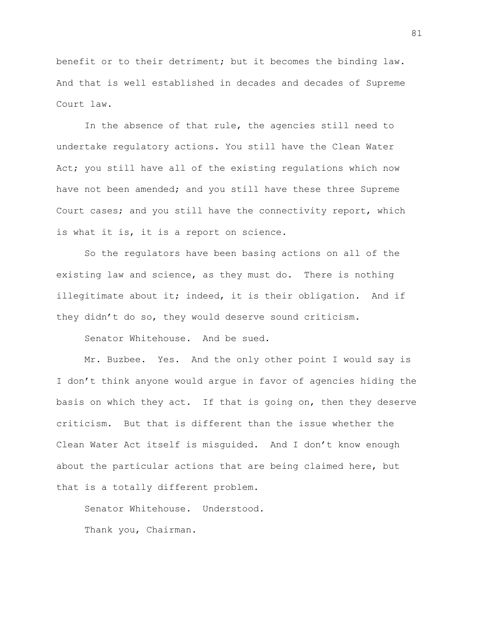benefit or to their detriment; but it becomes the binding law. And that is well established in decades and decades of Supreme Court law.

In the absence of that rule, the agencies still need to undertake regulatory actions. You still have the Clean Water Act; you still have all of the existing regulations which now have not been amended; and you still have these three Supreme Court cases; and you still have the connectivity report, which is what it is, it is a report on science.

So the regulators have been basing actions on all of the existing law and science, as they must do. There is nothing illegitimate about it; indeed, it is their obligation. And if they didn't do so, they would deserve sound criticism.

Senator Whitehouse. And be sued.

Mr. Buzbee. Yes. And the only other point I would say is I don't think anyone would argue in favor of agencies hiding the basis on which they act. If that is going on, then they deserve criticism. But that is different than the issue whether the Clean Water Act itself is misguided. And I don't know enough about the particular actions that are being claimed here, but that is a totally different problem.

Senator Whitehouse. Understood. Thank you, Chairman.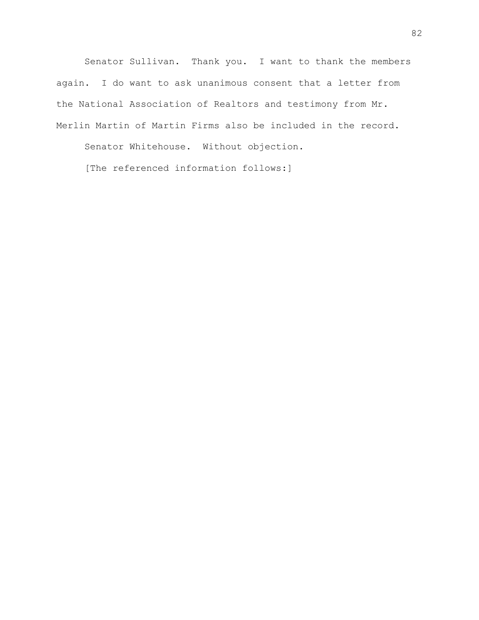Senator Sullivan. Thank you. I want to thank the members again. I do want to ask unanimous consent that a letter from the National Association of Realtors and testimony from Mr. Merlin Martin of Martin Firms also be included in the record.

Senator Whitehouse. Without objection.

[The referenced information follows:]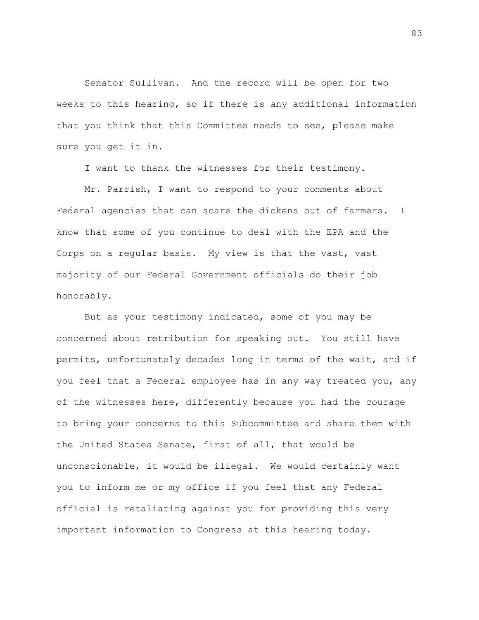Senator Sullivan. And the record will be open for two weeks to this hearing, so if there is any additional information that you think that this Committee needs to see, please make sure you get it in.

I want to thank the witnesses for their testimony.

Mr. Parrish, I want to respond to your comments about Federal agencies that can scare the dickens out of farmers. I know that some of you continue to deal with the EPA and the Corps on a regular basis. My view is that the vast, vast majority of our Federal Government officials do their job honorably.

But as your testimony indicated, some of you may be concerned about retribution for speaking out. You still have permits, unfortunately decades long in terms of the wait, and if you feel that a Federal employee has in any way treated you, any of the witnesses here, differently because you had the courage to bring your concerns to this Subcommittee and share them with the United States Senate, first of all, that would be unconscionable, it would be illegal. We would certainly want you to inform me or my office if you feel that any Federal official is retaliating against you for providing this very important information to Congress at this hearing today.